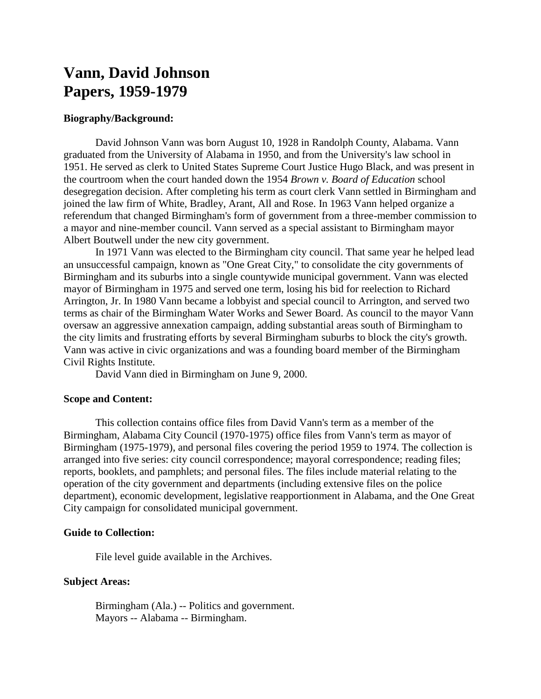# **Vann, David Johnson Papers, 1959-1979**

### **Biography/Background:**

David Johnson Vann was born August 10, 1928 in Randolph County, Alabama. Vann graduated from the University of Alabama in 1950, and from the University's law school in 1951. He served as clerk to United States Supreme Court Justice Hugo Black, and was present in the courtroom when the court handed down the 1954 *Brown v. Board of Education* school desegregation decision. After completing his term as court clerk Vann settled in Birmingham and joined the law firm of White, Bradley, Arant, All and Rose. In 1963 Vann helped organize a referendum that changed Birmingham's form of government from a three-member commission to a mayor and nine-member council. Vann served as a special assistant to Birmingham mayor Albert Boutwell under the new city government.

In 1971 Vann was elected to the Birmingham city council. That same year he helped lead an unsuccessful campaign, known as "One Great City," to consolidate the city governments of Birmingham and its suburbs into a single countywide municipal government. Vann was elected mayor of Birmingham in 1975 and served one term, losing his bid for reelection to Richard Arrington, Jr. In 1980 Vann became a lobbyist and special council to Arrington, and served two terms as chair of the Birmingham Water Works and Sewer Board. As council to the mayor Vann oversaw an aggressive annexation campaign, adding substantial areas south of Birmingham to the city limits and frustrating efforts by several Birmingham suburbs to block the city's growth. Vann was active in civic organizations and was a founding board member of the Birmingham Civil Rights Institute.

David Vann died in Birmingham on June 9, 2000.

# **Scope and Content:**

This collection contains office files from David Vann's term as a member of the Birmingham, Alabama City Council (1970-1975) office files from Vann's term as mayor of Birmingham (1975-1979), and personal files covering the period 1959 to 1974. The collection is arranged into five series: city council correspondence; mayoral correspondence; reading files; reports, booklets, and pamphlets; and personal files. The files include material relating to the operation of the city government and departments (including extensive files on the police department), economic development, legislative reapportionment in Alabama, and the One Great City campaign for consolidated municipal government.

#### **Guide to Collection:**

File level guide available in the Archives.

# **Subject Areas:**

Birmingham (Ala.) -- Politics and government. Mayors -- Alabama -- Birmingham.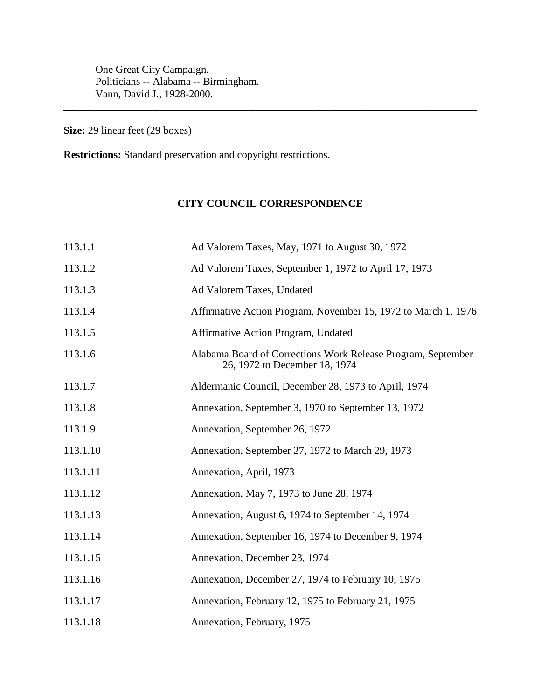One Great City Campaign. Politicians -- Alabama -- Birmingham. Vann, David J., 1928-2000.

**Size:** 29 linear feet (29 boxes)

**Restrictions:** Standard preservation and copyright restrictions.

# **CITY COUNCIL CORRESPONDENCE**

**\_\_\_\_\_\_\_\_\_\_\_\_\_\_\_\_\_\_\_\_\_\_\_\_\_\_\_\_\_\_\_\_\_\_\_\_\_\_\_\_\_\_\_\_\_\_\_\_\_\_\_\_\_\_\_\_\_\_\_\_\_\_\_\_\_\_\_\_\_\_\_\_\_\_\_\_\_\_**

| 113.1.1  | Ad Valorem Taxes, May, 1971 to August 30, 1972                                                |
|----------|-----------------------------------------------------------------------------------------------|
| 113.1.2  | Ad Valorem Taxes, September 1, 1972 to April 17, 1973                                         |
| 113.1.3  | Ad Valorem Taxes, Undated                                                                     |
| 113.1.4  | Affirmative Action Program, November 15, 1972 to March 1, 1976                                |
| 113.1.5  | Affirmative Action Program, Undated                                                           |
| 113.1.6  | Alabama Board of Corrections Work Release Program, September<br>26, 1972 to December 18, 1974 |
| 113.1.7  | Aldermanic Council, December 28, 1973 to April, 1974                                          |
| 113.1.8  | Annexation, September 3, 1970 to September 13, 1972                                           |
| 113.1.9  | Annexation, September 26, 1972                                                                |
| 113.1.10 | Annexation, September 27, 1972 to March 29, 1973                                              |
| 113.1.11 | Annexation, April, 1973                                                                       |
| 113.1.12 | Annexation, May 7, 1973 to June 28, 1974                                                      |
| 113.1.13 | Annexation, August 6, 1974 to September 14, 1974                                              |
| 113.1.14 | Annexation, September 16, 1974 to December 9, 1974                                            |
| 113.1.15 | Annexation, December 23, 1974                                                                 |
| 113.1.16 | Annexation, December 27, 1974 to February 10, 1975                                            |
| 113.1.17 | Annexation, February 12, 1975 to February 21, 1975                                            |
| 113.1.18 | Annexation, February, 1975                                                                    |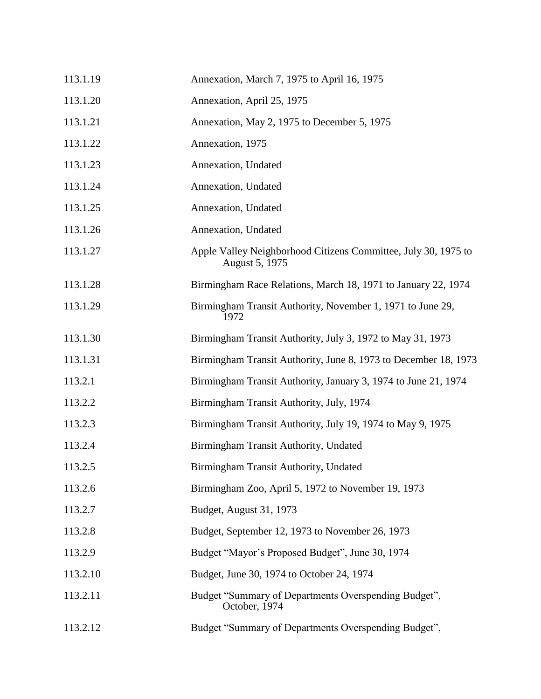| 113.1.19 | Annexation, March 7, 1975 to April 16, 1975                                      |
|----------|----------------------------------------------------------------------------------|
| 113.1.20 | Annexation, April 25, 1975                                                       |
| 113.1.21 | Annexation, May 2, 1975 to December 5, 1975                                      |
| 113.1.22 | Annexation, 1975                                                                 |
| 113.1.23 | Annexation, Undated                                                              |
| 113.1.24 | Annexation, Undated                                                              |
| 113.1.25 | Annexation, Undated                                                              |
| 113.1.26 | Annexation, Undated                                                              |
| 113.1.27 | Apple Valley Neighborhood Citizens Committee, July 30, 1975 to<br>August 5, 1975 |
| 113.1.28 | Birmingham Race Relations, March 18, 1971 to January 22, 1974                    |
| 113.1.29 | Birmingham Transit Authority, November 1, 1971 to June 29,<br>1972               |
| 113.1.30 | Birmingham Transit Authority, July 3, 1972 to May 31, 1973                       |
| 113.1.31 | Birmingham Transit Authority, June 8, 1973 to December 18, 1973                  |
| 113.2.1  | Birmingham Transit Authority, January 3, 1974 to June 21, 1974                   |
| 113.2.2  | Birmingham Transit Authority, July, 1974                                         |
| 113.2.3  | Birmingham Transit Authority, July 19, 1974 to May 9, 1975                       |
| 113.2.4  | Birmingham Transit Authority, Undated                                            |
| 113.2.5  | Birmingham Transit Authority, Undated                                            |
| 113.2.6  | Birmingham Zoo, April 5, 1972 to November 19, 1973                               |
| 113.2.7  | Budget, August 31, 1973                                                          |
| 113.2.8  | Budget, September 12, 1973 to November 26, 1973                                  |
| 113.2.9  | Budget "Mayor's Proposed Budget", June 30, 1974                                  |
| 113.2.10 | Budget, June 30, 1974 to October 24, 1974                                        |
| 113.2.11 | Budget "Summary of Departments Overspending Budget",<br>October, 1974            |
| 113.2.12 | Budget "Summary of Departments Overspending Budget",                             |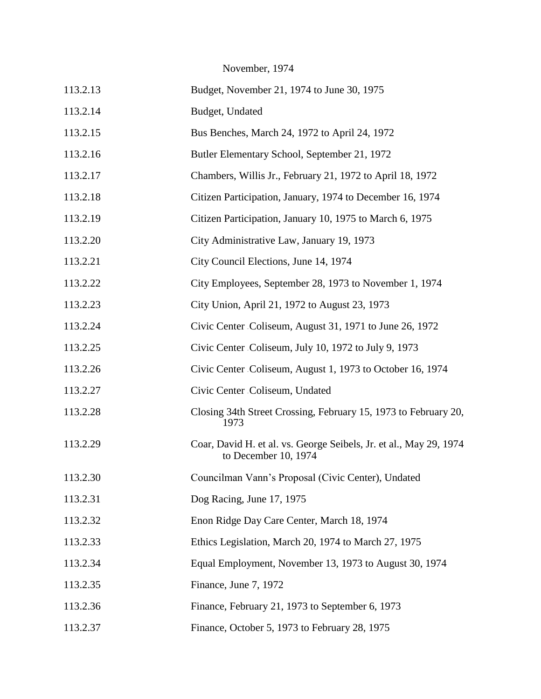November, 1974

| 113.2.13 | Budget, November 21, 1974 to June 30, 1975                                                 |
|----------|--------------------------------------------------------------------------------------------|
| 113.2.14 | Budget, Undated                                                                            |
| 113.2.15 | Bus Benches, March 24, 1972 to April 24, 1972                                              |
| 113.2.16 | Butler Elementary School, September 21, 1972                                               |
| 113.2.17 | Chambers, Willis Jr., February 21, 1972 to April 18, 1972                                  |
| 113.2.18 | Citizen Participation, January, 1974 to December 16, 1974                                  |
| 113.2.19 | Citizen Participation, January 10, 1975 to March 6, 1975                                   |
| 113.2.20 | City Administrative Law, January 19, 1973                                                  |
| 113.2.21 | City Council Elections, June 14, 1974                                                      |
| 113.2.22 | City Employees, September 28, 1973 to November 1, 1974                                     |
| 113.2.23 | City Union, April 21, 1972 to August 23, 1973                                              |
| 113.2.24 | Civic Center Coliseum, August 31, 1971 to June 26, 1972                                    |
| 113.2.25 | Civic Center Coliseum, July 10, 1972 to July 9, 1973                                       |
| 113.2.26 | Civic Center Coliseum, August 1, 1973 to October 16, 1974                                  |
| 113.2.27 | Civic Center Coliseum, Undated                                                             |
| 113.2.28 | Closing 34th Street Crossing, February 15, 1973 to February 20,<br>1973                    |
| 113.2.29 | Coar, David H. et al. vs. George Seibels, Jr. et al., May 29, 1974<br>to December 10, 1974 |
| 113.2.30 | Councilman Vann's Proposal (Civic Center), Undated                                         |
| 113.2.31 | Dog Racing, June 17, 1975                                                                  |
| 113.2.32 | Enon Ridge Day Care Center, March 18, 1974                                                 |
| 113.2.33 | Ethics Legislation, March 20, 1974 to March 27, 1975                                       |
| 113.2.34 | Equal Employment, November 13, 1973 to August 30, 1974                                     |
| 113.2.35 | Finance, June 7, 1972                                                                      |
| 113.2.36 | Finance, February 21, 1973 to September 6, 1973                                            |
| 113.2.37 | Finance, October 5, 1973 to February 28, 1975                                              |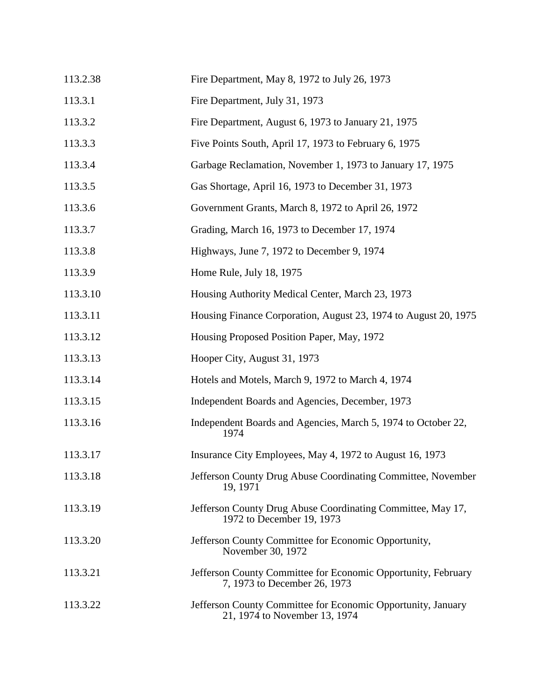| 113.2.38 | Fire Department, May 8, 1972 to July 26, 1973                                                 |
|----------|-----------------------------------------------------------------------------------------------|
| 113.3.1  | Fire Department, July 31, 1973                                                                |
| 113.3.2  | Fire Department, August 6, 1973 to January 21, 1975                                           |
| 113.3.3  | Five Points South, April 17, 1973 to February 6, 1975                                         |
| 113.3.4  | Garbage Reclamation, November 1, 1973 to January 17, 1975                                     |
| 113.3.5  | Gas Shortage, April 16, 1973 to December 31, 1973                                             |
| 113.3.6  | Government Grants, March 8, 1972 to April 26, 1972                                            |
| 113.3.7  | Grading, March 16, 1973 to December 17, 1974                                                  |
| 113.3.8  | Highways, June 7, 1972 to December 9, 1974                                                    |
| 113.3.9  | Home Rule, July 18, 1975                                                                      |
| 113.3.10 | Housing Authority Medical Center, March 23, 1973                                              |
| 113.3.11 | Housing Finance Corporation, August 23, 1974 to August 20, 1975                               |
| 113.3.12 | Housing Proposed Position Paper, May, 1972                                                    |
| 113.3.13 | Hooper City, August 31, 1973                                                                  |
| 113.3.14 | Hotels and Motels, March 9, 1972 to March 4, 1974                                             |
| 113.3.15 | Independent Boards and Agencies, December, 1973                                               |
| 113.3.16 | Independent Boards and Agencies, March 5, 1974 to October 22,<br>1974                         |
| 113.3.17 | Insurance City Employees, May 4, 1972 to August 16, 1973                                      |
| 113.3.18 | Jefferson County Drug Abuse Coordinating Committee, November<br>19, 1971                      |
| 113.3.19 | Jefferson County Drug Abuse Coordinating Committee, May 17,<br>1972 to December 19, 1973      |
| 113.3.20 | Jefferson County Committee for Economic Opportunity,<br>November 30, 1972                     |
| 113.3.21 | Jefferson County Committee for Economic Opportunity, February<br>7, 1973 to December 26, 1973 |
| 113.3.22 | Jefferson County Committee for Economic Opportunity, January<br>21, 1974 to November 13, 1974 |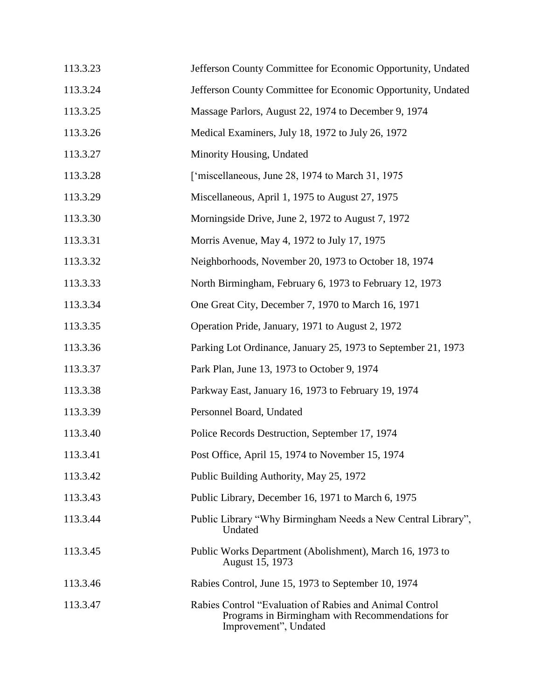| 113.3.23 | Jefferson County Committee for Economic Opportunity, Undated                                                                         |
|----------|--------------------------------------------------------------------------------------------------------------------------------------|
| 113.3.24 | Jefferson County Committee for Economic Opportunity, Undated                                                                         |
| 113.3.25 | Massage Parlors, August 22, 1974 to December 9, 1974                                                                                 |
| 113.3.26 | Medical Examiners, July 18, 1972 to July 26, 1972                                                                                    |
| 113.3.27 | Minority Housing, Undated                                                                                                            |
| 113.3.28 | ['miscellaneous, June 28, 1974 to March 31, 1975]                                                                                    |
| 113.3.29 | Miscellaneous, April 1, 1975 to August 27, 1975                                                                                      |
| 113.3.30 | Morningside Drive, June 2, 1972 to August 7, 1972                                                                                    |
| 113.3.31 | Morris Avenue, May 4, 1972 to July 17, 1975                                                                                          |
| 113.3.32 | Neighborhoods, November 20, 1973 to October 18, 1974                                                                                 |
| 113.3.33 | North Birmingham, February 6, 1973 to February 12, 1973                                                                              |
| 113.3.34 | One Great City, December 7, 1970 to March 16, 1971                                                                                   |
| 113.3.35 | Operation Pride, January, 1971 to August 2, 1972                                                                                     |
| 113.3.36 | Parking Lot Ordinance, January 25, 1973 to September 21, 1973                                                                        |
| 113.3.37 | Park Plan, June 13, 1973 to October 9, 1974                                                                                          |
| 113.3.38 | Parkway East, January 16, 1973 to February 19, 1974                                                                                  |
| 113.3.39 | Personnel Board, Undated                                                                                                             |
| 113.3.40 | Police Records Destruction, September 17, 1974                                                                                       |
| 113.3.41 | Post Office, April 15, 1974 to November 15, 1974                                                                                     |
| 113.3.42 | Public Building Authority, May 25, 1972                                                                                              |
| 113.3.43 | Public Library, December 16, 1971 to March 6, 1975                                                                                   |
| 113.3.44 | Public Library "Why Birmingham Needs a New Central Library",<br>Undated                                                              |
| 113.3.45 | Public Works Department (Abolishment), March 16, 1973 to<br>August 15, 1973                                                          |
| 113.3.46 | Rabies Control, June 15, 1973 to September 10, 1974                                                                                  |
| 113.3.47 | Rabies Control "Evaluation of Rabies and Animal Control"<br>Programs in Birmingham with Recommendations for<br>Improvement", Undated |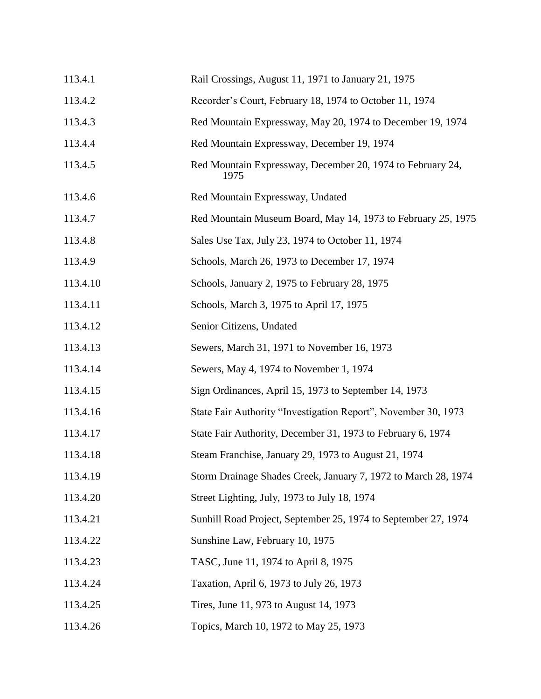| 113.4.1  | Rail Crossings, August 11, 1971 to January 21, 1975                |
|----------|--------------------------------------------------------------------|
| 113.4.2  | Recorder's Court, February 18, 1974 to October 11, 1974            |
| 113.4.3  | Red Mountain Expressway, May 20, 1974 to December 19, 1974         |
| 113.4.4  | Red Mountain Expressway, December 19, 1974                         |
| 113.4.5  | Red Mountain Expressway, December 20, 1974 to February 24,<br>1975 |
| 113.4.6  | Red Mountain Expressway, Undated                                   |
| 113.4.7  | Red Mountain Museum Board, May 14, 1973 to February 25, 1975       |
| 113.4.8  | Sales Use Tax, July 23, 1974 to October 11, 1974                   |
| 113.4.9  | Schools, March 26, 1973 to December 17, 1974                       |
| 113.4.10 | Schools, January 2, 1975 to February 28, 1975                      |
| 113.4.11 | Schools, March 3, 1975 to April 17, 1975                           |
| 113.4.12 | Senior Citizens, Undated                                           |
| 113.4.13 | Sewers, March 31, 1971 to November 16, 1973                        |
| 113.4.14 | Sewers, May 4, 1974 to November 1, 1974                            |
| 113.4.15 | Sign Ordinances, April 15, 1973 to September 14, 1973              |
| 113.4.16 | State Fair Authority "Investigation Report", November 30, 1973     |
| 113.4.17 | State Fair Authority, December 31, 1973 to February 6, 1974        |
| 113.4.18 | Steam Franchise, January 29, 1973 to August 21, 1974               |
| 113.4.19 | Storm Drainage Shades Creek, January 7, 1972 to March 28, 1974     |
| 113.4.20 | Street Lighting, July, 1973 to July 18, 1974                       |
| 113.4.21 | Sunhill Road Project, September 25, 1974 to September 27, 1974     |
| 113.4.22 | Sunshine Law, February 10, 1975                                    |
| 113.4.23 | TASC, June 11, 1974 to April 8, 1975                               |
| 113.4.24 | Taxation, April 6, 1973 to July 26, 1973                           |
| 113.4.25 | Tires, June 11, 973 to August 14, 1973                             |
| 113.4.26 | Topics, March 10, 1972 to May 25, 1973                             |
|          |                                                                    |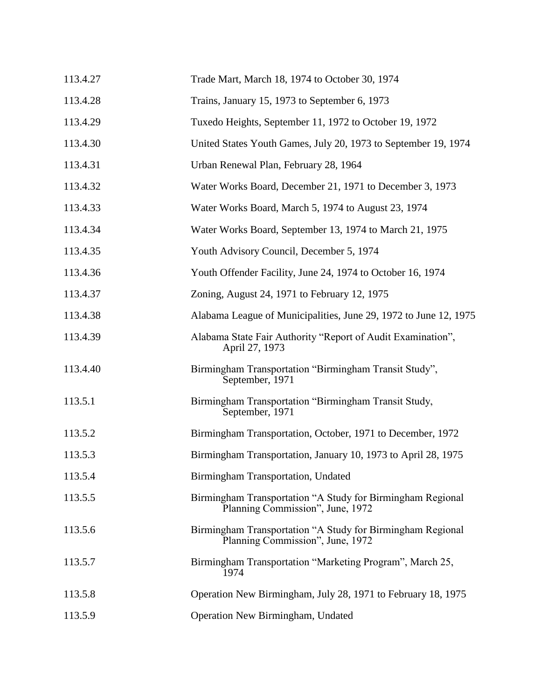| 113.4.27 | Trade Mart, March 18, 1974 to October 30, 1974                                                 |
|----------|------------------------------------------------------------------------------------------------|
| 113.4.28 | Trains, January 15, 1973 to September 6, 1973                                                  |
| 113.4.29 | Tuxedo Heights, September 11, 1972 to October 19, 1972                                         |
| 113.4.30 | United States Youth Games, July 20, 1973 to September 19, 1974                                 |
| 113.4.31 | Urban Renewal Plan, February 28, 1964                                                          |
| 113.4.32 | Water Works Board, December 21, 1971 to December 3, 1973                                       |
| 113.4.33 | Water Works Board, March 5, 1974 to August 23, 1974                                            |
| 113.4.34 | Water Works Board, September 13, 1974 to March 21, 1975                                        |
| 113.4.35 | Youth Advisory Council, December 5, 1974                                                       |
| 113.4.36 | Youth Offender Facility, June 24, 1974 to October 16, 1974                                     |
| 113.4.37 | Zoning, August 24, 1971 to February 12, 1975                                                   |
| 113.4.38 | Alabama League of Municipalities, June 29, 1972 to June 12, 1975                               |
| 113.4.39 | Alabama State Fair Authority "Report of Audit Examination",<br>April 27, 1973                  |
| 113.4.40 | Birmingham Transportation "Birmingham Transit Study",<br>September, 1971                       |
| 113.5.1  | Birmingham Transportation "Birmingham Transit Study,<br>September, 1971                        |
| 113.5.2  | Birmingham Transportation, October, 1971 to December, 1972                                     |
| 113.5.3  | Birmingham Transportation, January 10, 1973 to April 28, 1975                                  |
| 113.5.4  | Birmingham Transportation, Undated                                                             |
| 113.5.5  | Birmingham Transportation "A Study for Birmingham Regional<br>Planning Commission", June, 1972 |
| 113.5.6  | Birmingham Transportation "A Study for Birmingham Regional<br>Planning Commission", June, 1972 |
| 113.5.7  | Birmingham Transportation "Marketing Program", March 25,<br>1974                               |
| 113.5.8  | Operation New Birmingham, July 28, 1971 to February 18, 1975                                   |
| 113.5.9  | Operation New Birmingham, Undated                                                              |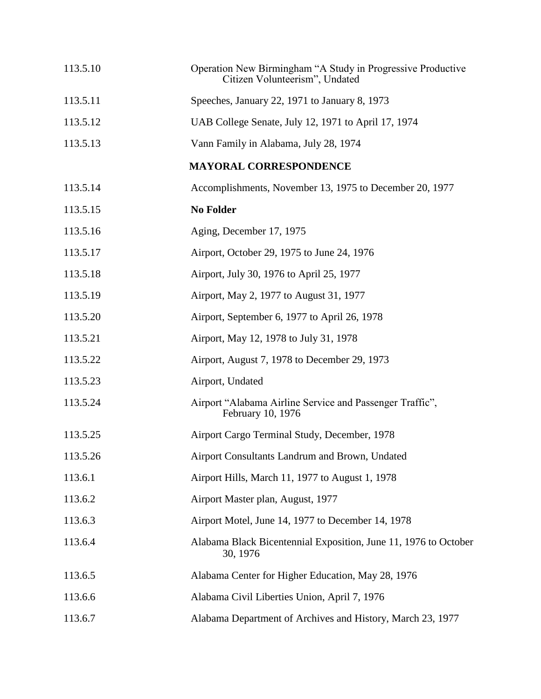| 113.5.10 | Operation New Birmingham "A Study in Progressive Productive<br>Citizen Volunteerism", Undated |
|----------|-----------------------------------------------------------------------------------------------|
| 113.5.11 | Speeches, January 22, 1971 to January 8, 1973                                                 |
| 113.5.12 | UAB College Senate, July 12, 1971 to April 17, 1974                                           |
| 113.5.13 | Vann Family in Alabama, July 28, 1974                                                         |
|          | <b>MAYORAL CORRESPONDENCE</b>                                                                 |
| 113.5.14 | Accomplishments, November 13, 1975 to December 20, 1977                                       |
| 113.5.15 | <b>No Folder</b>                                                                              |
| 113.5.16 | Aging, December 17, 1975                                                                      |
| 113.5.17 | Airport, October 29, 1975 to June 24, 1976                                                    |
| 113.5.18 | Airport, July 30, 1976 to April 25, 1977                                                      |
| 113.5.19 | Airport, May 2, 1977 to August 31, 1977                                                       |
| 113.5.20 | Airport, September 6, 1977 to April 26, 1978                                                  |
| 113.5.21 | Airport, May 12, 1978 to July 31, 1978                                                        |
| 113.5.22 | Airport, August 7, 1978 to December 29, 1973                                                  |
| 113.5.23 | Airport, Undated                                                                              |
| 113.5.24 | Airport "Alabama Airline Service and Passenger Traffic",<br>February 10, 1976                 |
| 113.5.25 | Airport Cargo Terminal Study, December, 1978                                                  |
| 113.5.26 | Airport Consultants Landrum and Brown, Undated                                                |
| 113.6.1  | Airport Hills, March 11, 1977 to August 1, 1978                                               |
| 113.6.2  | Airport Master plan, August, 1977                                                             |
| 113.6.3  | Airport Motel, June 14, 1977 to December 14, 1978                                             |
| 113.6.4  | Alabama Black Bicentennial Exposition, June 11, 1976 to October<br>30, 1976                   |
| 113.6.5  | Alabama Center for Higher Education, May 28, 1976                                             |
| 113.6.6  | Alabama Civil Liberties Union, April 7, 1976                                                  |
| 113.6.7  | Alabama Department of Archives and History, March 23, 1977                                    |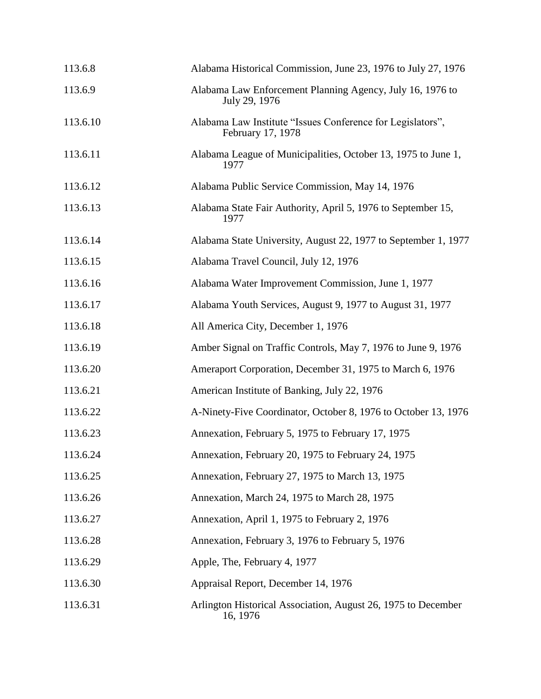| 113.6.8  | Alabama Historical Commission, June 23, 1976 to July 27, 1976                   |
|----------|---------------------------------------------------------------------------------|
| 113.6.9  | Alabama Law Enforcement Planning Agency, July 16, 1976 to<br>July 29, 1976      |
| 113.6.10 | Alabama Law Institute "Issues Conference for Legislators",<br>February 17, 1978 |
| 113.6.11 | Alabama League of Municipalities, October 13, 1975 to June 1,<br>1977           |
| 113.6.12 | Alabama Public Service Commission, May 14, 1976                                 |
| 113.6.13 | Alabama State Fair Authority, April 5, 1976 to September 15,<br>1977            |
| 113.6.14 | Alabama State University, August 22, 1977 to September 1, 1977                  |
| 113.6.15 | Alabama Travel Council, July 12, 1976                                           |
| 113.6.16 | Alabama Water Improvement Commission, June 1, 1977                              |
| 113.6.17 | Alabama Youth Services, August 9, 1977 to August 31, 1977                       |
| 113.6.18 | All America City, December 1, 1976                                              |
| 113.6.19 | Amber Signal on Traffic Controls, May 7, 1976 to June 9, 1976                   |
| 113.6.20 | Ameraport Corporation, December 31, 1975 to March 6, 1976                       |
| 113.6.21 | American Institute of Banking, July 22, 1976                                    |
| 113.6.22 | A-Ninety-Five Coordinator, October 8, 1976 to October 13, 1976                  |
| 113.6.23 | Annexation, February 5, 1975 to February 17, 1975                               |
| 113.6.24 | Annexation, February 20, 1975 to February 24, 1975                              |
| 113.6.25 | Annexation, February 27, 1975 to March 13, 1975                                 |
| 113.6.26 | Annexation, March 24, 1975 to March 28, 1975                                    |
| 113.6.27 | Annexation, April 1, 1975 to February 2, 1976                                   |
| 113.6.28 | Annexation, February 3, 1976 to February 5, 1976                                |
| 113.6.29 | Apple, The, February 4, 1977                                                    |
| 113.6.30 | Appraisal Report, December 14, 1976                                             |
| 113.6.31 | Arlington Historical Association, August 26, 1975 to December<br>16, 1976       |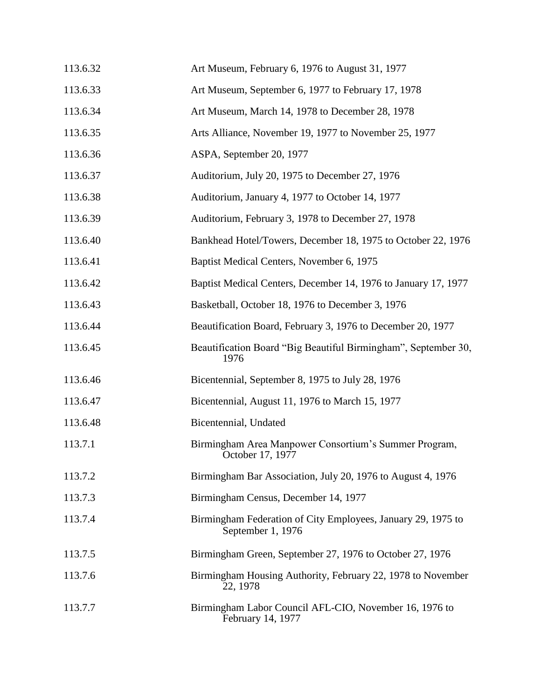| 113.6.32 | Art Museum, February 6, 1976 to August 31, 1977                                   |
|----------|-----------------------------------------------------------------------------------|
| 113.6.33 | Art Museum, September 6, 1977 to February 17, 1978                                |
| 113.6.34 | Art Museum, March 14, 1978 to December 28, 1978                                   |
| 113.6.35 | Arts Alliance, November 19, 1977 to November 25, 1977                             |
| 113.6.36 | ASPA, September 20, 1977                                                          |
| 113.6.37 | Auditorium, July 20, 1975 to December 27, 1976                                    |
| 113.6.38 | Auditorium, January 4, 1977 to October 14, 1977                                   |
| 113.6.39 | Auditorium, February 3, 1978 to December 27, 1978                                 |
| 113.6.40 | Bankhead Hotel/Towers, December 18, 1975 to October 22, 1976                      |
| 113.6.41 | Baptist Medical Centers, November 6, 1975                                         |
| 113.6.42 | Baptist Medical Centers, December 14, 1976 to January 17, 1977                    |
| 113.6.43 | Basketball, October 18, 1976 to December 3, 1976                                  |
| 113.6.44 | Beautification Board, February 3, 1976 to December 20, 1977                       |
| 113.6.45 | Beautification Board "Big Beautiful Birmingham", September 30,<br>1976            |
| 113.6.46 | Bicentennial, September 8, 1975 to July 28, 1976                                  |
| 113.6.47 | Bicentennial, August 11, 1976 to March 15, 1977                                   |
| 113.6.48 | Bicentennial, Undated                                                             |
| 113.7.1  | Birmingham Area Manpower Consortium's Summer Program,<br>October 17, 1977         |
| 113.7.2  | Birmingham Bar Association, July 20, 1976 to August 4, 1976                       |
| 113.7.3  | Birmingham Census, December 14, 1977                                              |
| 113.7.4  | Birmingham Federation of City Employees, January 29, 1975 to<br>September 1, 1976 |
| 113.7.5  | Birmingham Green, September 27, 1976 to October 27, 1976                          |
| 113.7.6  | Birmingham Housing Authority, February 22, 1978 to November<br>22, 1978           |
| 113.7.7  | Birmingham Labor Council AFL-CIO, November 16, 1976 to<br>February 14, 1977       |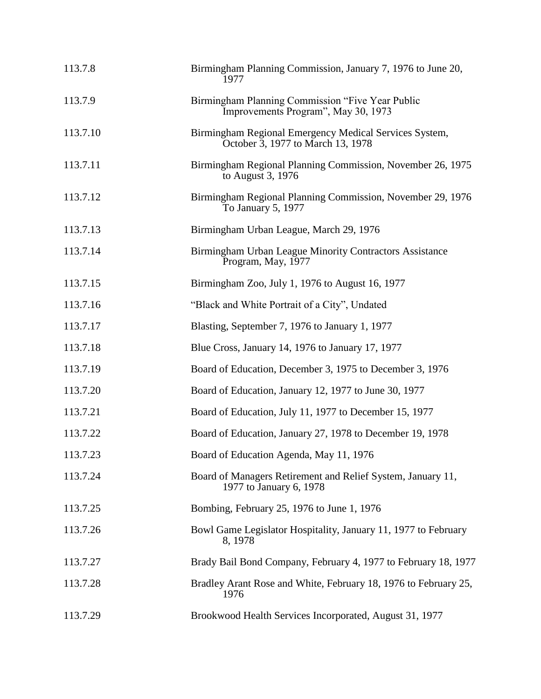| 113.7.8  | Birmingham Planning Commission, January 7, 1976 to June 20,<br>1977                         |
|----------|---------------------------------------------------------------------------------------------|
| 113.7.9  | Birmingham Planning Commission "Five Year Public<br>Improvements Program", May 30, 1973     |
| 113.7.10 | Birmingham Regional Emergency Medical Services System,<br>October 3, 1977 to March 13, 1978 |
| 113.7.11 | Birmingham Regional Planning Commission, November 26, 1975<br>to August 3, 1976             |
| 113.7.12 | Birmingham Regional Planning Commission, November 29, 1976<br>To January 5, 1977            |
| 113.7.13 | Birmingham Urban League, March 29, 1976                                                     |
| 113.7.14 | Birmingham Urban League Minority Contractors Assistance<br>Program, May, 1977               |
| 113.7.15 | Birmingham Zoo, July 1, 1976 to August 16, 1977                                             |
| 113.7.16 | "Black and White Portrait of a City", Undated                                               |
| 113.7.17 | Blasting, September 7, 1976 to January 1, 1977                                              |
| 113.7.18 | Blue Cross, January 14, 1976 to January 17, 1977                                            |
| 113.7.19 | Board of Education, December 3, 1975 to December 3, 1976                                    |
| 113.7.20 | Board of Education, January 12, 1977 to June 30, 1977                                       |
| 113.7.21 | Board of Education, July 11, 1977 to December 15, 1977                                      |
| 113.7.22 | Board of Education, January 27, 1978 to December 19, 1978                                   |
| 113.7.23 | Board of Education Agenda, May 11, 1976                                                     |
| 113.7.24 | Board of Managers Retirement and Relief System, January 11,<br>1977 to January 6, 1978      |
| 113.7.25 | Bombing, February 25, 1976 to June 1, 1976                                                  |
| 113.7.26 | Bowl Game Legislator Hospitality, January 11, 1977 to February<br>8, 1978                   |
| 113.7.27 | Brady Bail Bond Company, February 4, 1977 to February 18, 1977                              |
| 113.7.28 | Bradley Arant Rose and White, February 18, 1976 to February 25,<br>1976                     |
| 113.7.29 | Brookwood Health Services Incorporated, August 31, 1977                                     |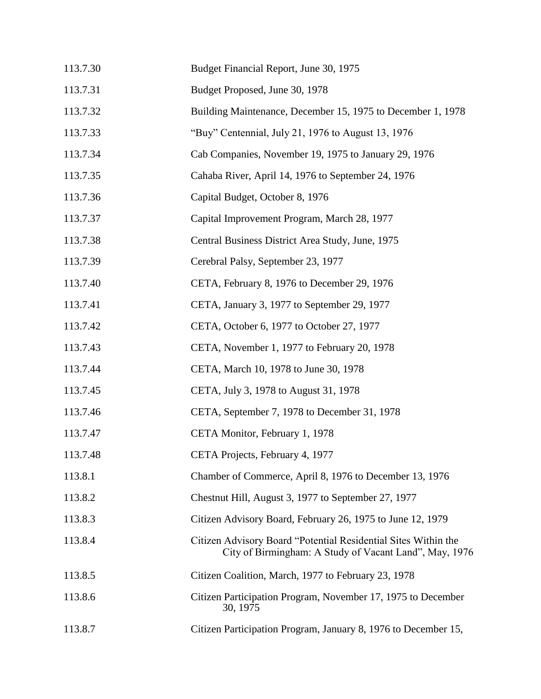| 113.7.30 | Budget Financial Report, June 30, 1975                                                                                   |
|----------|--------------------------------------------------------------------------------------------------------------------------|
| 113.7.31 | Budget Proposed, June 30, 1978                                                                                           |
| 113.7.32 | Building Maintenance, December 15, 1975 to December 1, 1978                                                              |
| 113.7.33 | "Buy" Centennial, July 21, 1976 to August 13, 1976                                                                       |
| 113.7.34 | Cab Companies, November 19, 1975 to January 29, 1976                                                                     |
| 113.7.35 | Cahaba River, April 14, 1976 to September 24, 1976                                                                       |
| 113.7.36 | Capital Budget, October 8, 1976                                                                                          |
| 113.7.37 | Capital Improvement Program, March 28, 1977                                                                              |
| 113.7.38 | Central Business District Area Study, June, 1975                                                                         |
| 113.7.39 | Cerebral Palsy, September 23, 1977                                                                                       |
| 113.7.40 | CETA, February 8, 1976 to December 29, 1976                                                                              |
| 113.7.41 | CETA, January 3, 1977 to September 29, 1977                                                                              |
| 113.7.42 | CETA, October 6, 1977 to October 27, 1977                                                                                |
| 113.7.43 | CETA, November 1, 1977 to February 20, 1978                                                                              |
| 113.7.44 | CETA, March 10, 1978 to June 30, 1978                                                                                    |
| 113.7.45 | CETA, July 3, 1978 to August 31, 1978                                                                                    |
| 113.7.46 | CETA, September 7, 1978 to December 31, 1978                                                                             |
| 113.7.47 | CETA Monitor, February 1, 1978                                                                                           |
| 113.7.48 | CETA Projects, February 4, 1977                                                                                          |
| 113.8.1  | Chamber of Commerce, April 8, 1976 to December 13, 1976                                                                  |
| 113.8.2  | Chestnut Hill, August 3, 1977 to September 27, 1977                                                                      |
| 113.8.3  | Citizen Advisory Board, February 26, 1975 to June 12, 1979                                                               |
| 113.8.4  | Citizen Advisory Board "Potential Residential Sites Within the<br>City of Birmingham: A Study of Vacant Land", May, 1976 |
| 113.8.5  | Citizen Coalition, March, 1977 to February 23, 1978                                                                      |
| 113.8.6  | Citizen Participation Program, November 17, 1975 to December<br>30, 1975                                                 |
| 113.8.7  | Citizen Participation Program, January 8, 1976 to December 15,                                                           |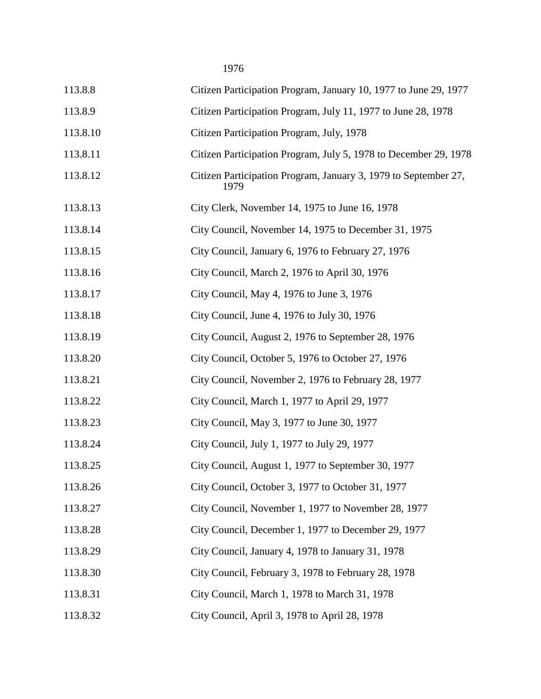| 113.8.8  | Citizen Participation Program, January 10, 1977 to June 29, 1977        |
|----------|-------------------------------------------------------------------------|
| 113.8.9  | Citizen Participation Program, July 11, 1977 to June 28, 1978           |
| 113.8.10 | Citizen Participation Program, July, 1978                               |
| 113.8.11 | Citizen Participation Program, July 5, 1978 to December 29, 1978        |
| 113.8.12 | Citizen Participation Program, January 3, 1979 to September 27,<br>1979 |
| 113.8.13 | City Clerk, November 14, 1975 to June 16, 1978                          |
| 113.8.14 | City Council, November 14, 1975 to December 31, 1975                    |
| 113.8.15 | City Council, January 6, 1976 to February 27, 1976                      |
| 113.8.16 | City Council, March 2, 1976 to April 30, 1976                           |
| 113.8.17 | City Council, May 4, 1976 to June 3, 1976                               |
| 113.8.18 | City Council, June 4, 1976 to July 30, 1976                             |
| 113.8.19 | City Council, August 2, 1976 to September 28, 1976                      |
| 113.8.20 | City Council, October 5, 1976 to October 27, 1976                       |
| 113.8.21 | City Council, November 2, 1976 to February 28, 1977                     |
| 113.8.22 | City Council, March 1, 1977 to April 29, 1977                           |
| 113.8.23 | City Council, May 3, 1977 to June 30, 1977                              |
| 113.8.24 | City Council, July 1, 1977 to July 29, 1977                             |
| 113.8.25 | City Council, August 1, 1977 to September 30, 1977                      |
| 113.8.26 | City Council, October 3, 1977 to October 31, 1977                       |
| 113.8.27 | City Council, November 1, 1977 to November 28, 1977                     |
| 113.8.28 | City Council, December 1, 1977 to December 29, 1977                     |
| 113.8.29 | City Council, January 4, 1978 to January 31, 1978                       |
| 113.8.30 | City Council, February 3, 1978 to February 28, 1978                     |
| 113.8.31 | City Council, March 1, 1978 to March 31, 1978                           |
| 113.8.32 | City Council, April 3, 1978 to April 28, 1978                           |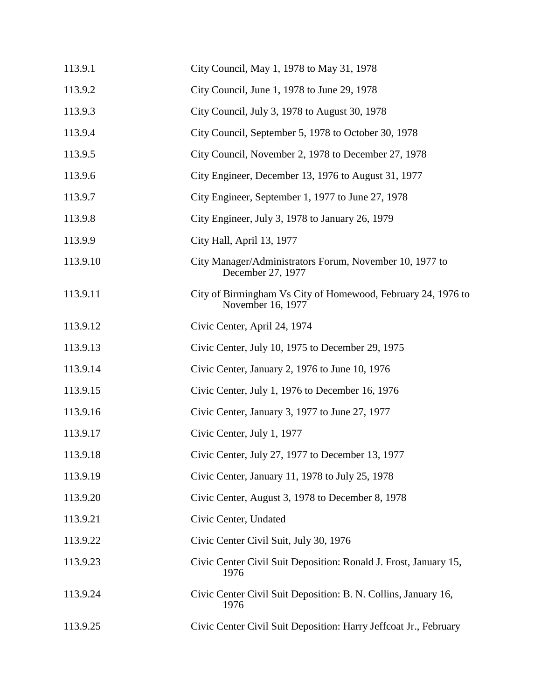| 113.9.1  | City Council, May 1, 1978 to May 31, 1978                                         |
|----------|-----------------------------------------------------------------------------------|
| 113.9.2  | City Council, June 1, 1978 to June 29, 1978                                       |
| 113.9.3  | City Council, July 3, 1978 to August 30, 1978                                     |
| 113.9.4  | City Council, September 5, 1978 to October 30, 1978                               |
| 113.9.5  | City Council, November 2, 1978 to December 27, 1978                               |
| 113.9.6  | City Engineer, December 13, 1976 to August 31, 1977                               |
| 113.9.7  | City Engineer, September 1, 1977 to June 27, 1978                                 |
| 113.9.8  | City Engineer, July 3, 1978 to January 26, 1979                                   |
| 113.9.9  | City Hall, April 13, 1977                                                         |
| 113.9.10 | City Manager/Administrators Forum, November 10, 1977 to<br>December 27, 1977      |
| 113.9.11 | City of Birmingham Vs City of Homewood, February 24, 1976 to<br>November 16, 1977 |
| 113.9.12 | Civic Center, April 24, 1974                                                      |
| 113.9.13 | Civic Center, July 10, 1975 to December 29, 1975                                  |
| 113.9.14 | Civic Center, January 2, 1976 to June 10, 1976                                    |
| 113.9.15 | Civic Center, July 1, 1976 to December 16, 1976                                   |
| 113.9.16 | Civic Center, January 3, 1977 to June 27, 1977                                    |
| 113.9.17 | Civic Center, July 1, 1977                                                        |
| 113.9.18 | Civic Center, July 27, 1977 to December 13, 1977                                  |
| 113.9.19 | Civic Center, January 11, 1978 to July 25, 1978                                   |
| 113.9.20 | Civic Center, August 3, 1978 to December 8, 1978                                  |
| 113.9.21 | Civic Center, Undated                                                             |
| 113.9.22 | Civic Center Civil Suit, July 30, 1976                                            |
| 113.9.23 | Civic Center Civil Suit Deposition: Ronald J. Frost, January 15,<br>1976          |
| 113.9.24 | Civic Center Civil Suit Deposition: B. N. Collins, January 16,<br>1976            |
| 113.9.25 | Civic Center Civil Suit Deposition: Harry Jeffcoat Jr., February                  |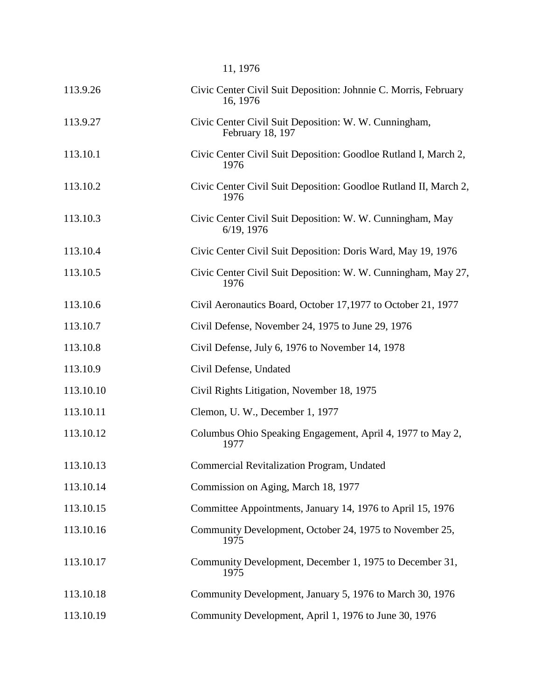|           | 11, 1976                                                                    |
|-----------|-----------------------------------------------------------------------------|
| 113.9.26  | Civic Center Civil Suit Deposition: Johnnie C. Morris, February<br>16, 1976 |
| 113.9.27  | Civic Center Civil Suit Deposition: W. W. Cunningham,<br>February 18, 197   |
| 113.10.1  | Civic Center Civil Suit Deposition: Goodloe Rutland I, March 2,<br>1976     |
| 113.10.2  | Civic Center Civil Suit Deposition: Goodloe Rutland II, March 2,<br>1976    |
| 113.10.3  | Civic Center Civil Suit Deposition: W. W. Cunningham, May<br>$6/19$ , 1976  |
| 113.10.4  | Civic Center Civil Suit Deposition: Doris Ward, May 19, 1976                |
| 113.10.5  | Civic Center Civil Suit Deposition: W. W. Cunningham, May 27,<br>1976       |
| 113.10.6  | Civil Aeronautics Board, October 17,1977 to October 21, 1977                |
| 113.10.7  | Civil Defense, November 24, 1975 to June 29, 1976                           |
| 113.10.8  | Civil Defense, July 6, 1976 to November 14, 1978                            |
| 113.10.9  | Civil Defense, Undated                                                      |
| 113.10.10 | Civil Rights Litigation, November 18, 1975                                  |
| 113.10.11 | Clemon, U. W., December 1, 1977                                             |
| 113.10.12 | Columbus Ohio Speaking Engagement, April 4, 1977 to May 2,<br>1977          |
| 113.10.13 | Commercial Revitalization Program, Undated                                  |
| 113.10.14 | Commission on Aging, March 18, 1977                                         |
| 113.10.15 | Committee Appointments, January 14, 1976 to April 15, 1976                  |
| 113.10.16 | Community Development, October 24, 1975 to November 25,<br>1975             |
| 113.10.17 | Community Development, December 1, 1975 to December 31,<br>1975             |
| 113.10.18 | Community Development, January 5, 1976 to March 30, 1976                    |
| 113.10.19 | Community Development, April 1, 1976 to June 30, 1976                       |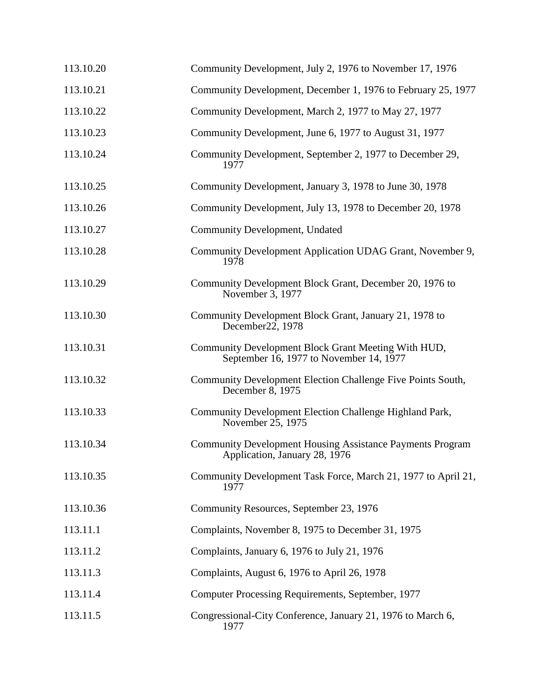| 113.10.20 | Community Development, July 2, 1976 to November 17, 1976                                          |
|-----------|---------------------------------------------------------------------------------------------------|
| 113.10.21 | Community Development, December 1, 1976 to February 25, 1977                                      |
| 113.10.22 | Community Development, March 2, 1977 to May 27, 1977                                              |
| 113.10.23 | Community Development, June 6, 1977 to August 31, 1977                                            |
| 113.10.24 | Community Development, September 2, 1977 to December 29,<br>1977                                  |
| 113.10.25 | Community Development, January 3, 1978 to June 30, 1978                                           |
| 113.10.26 | Community Development, July 13, 1978 to December 20, 1978                                         |
| 113.10.27 | Community Development, Undated                                                                    |
| 113.10.28 | Community Development Application UDAG Grant, November 9,<br>1978                                 |
| 113.10.29 | Community Development Block Grant, December 20, 1976 to<br>November 3, 1977                       |
| 113.10.30 | Community Development Block Grant, January 21, 1978 to<br>December 22, 1978                       |
| 113.10.31 | Community Development Block Grant Meeting With HUD,<br>September 16, 1977 to November 14, 1977    |
| 113.10.32 | Community Development Election Challenge Five Points South,<br>December 8, 1975                   |
| 113.10.33 | Community Development Election Challenge Highland Park,<br>November 25, 1975                      |
| 113.10.34 | <b>Community Development Housing Assistance Payments Program</b><br>Application, January 28, 1976 |
| 113.10.35 | Community Development Task Force, March 21, 1977 to April 21,<br>1977                             |
| 113.10.36 | Community Resources, September 23, 1976                                                           |
| 113.11.1  | Complaints, November 8, 1975 to December 31, 1975                                                 |
| 113.11.2  | Complaints, January 6, 1976 to July 21, 1976                                                      |
| 113.11.3  | Complaints, August 6, 1976 to April 26, 1978                                                      |
| 113.11.4  | Computer Processing Requirements, September, 1977                                                 |
| 113.11.5  | Congressional-City Conference, January 21, 1976 to March 6,<br>1977                               |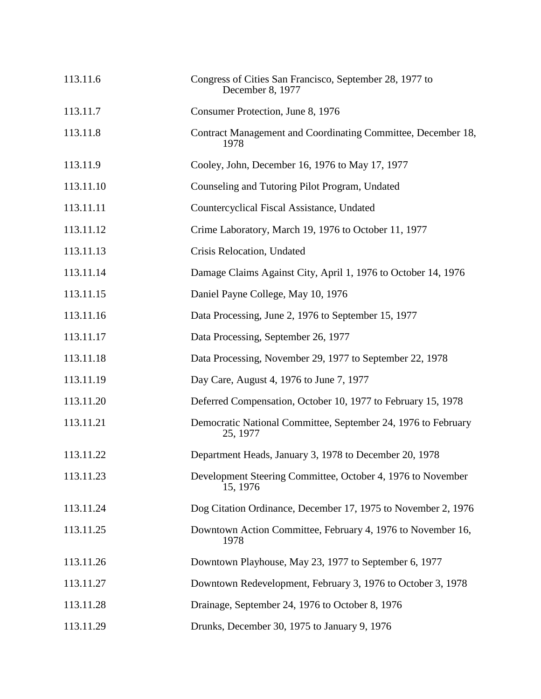| 113.11.6  | Congress of Cities San Francisco, September 28, 1977 to<br>December 8, 1977 |
|-----------|-----------------------------------------------------------------------------|
| 113.11.7  | Consumer Protection, June 8, 1976                                           |
| 113.11.8  | Contract Management and Coordinating Committee, December 18,<br>1978        |
| 113.11.9  | Cooley, John, December 16, 1976 to May 17, 1977                             |
| 113.11.10 | Counseling and Tutoring Pilot Program, Undated                              |
| 113.11.11 | Countercyclical Fiscal Assistance, Undated                                  |
| 113.11.12 | Crime Laboratory, March 19, 1976 to October 11, 1977                        |
| 113.11.13 | Crisis Relocation, Undated                                                  |
| 113.11.14 | Damage Claims Against City, April 1, 1976 to October 14, 1976               |
| 113.11.15 | Daniel Payne College, May 10, 1976                                          |
| 113.11.16 | Data Processing, June 2, 1976 to September 15, 1977                         |
| 113.11.17 | Data Processing, September 26, 1977                                         |
| 113.11.18 | Data Processing, November 29, 1977 to September 22, 1978                    |
| 113.11.19 | Day Care, August 4, 1976 to June 7, 1977                                    |
| 113.11.20 | Deferred Compensation, October 10, 1977 to February 15, 1978                |
| 113.11.21 | Democratic National Committee, September 24, 1976 to February<br>25, 1977   |
| 113.11.22 | Department Heads, January 3, 1978 to December 20, 1978                      |
| 113.11.23 | Development Steering Committee, October 4, 1976 to November<br>15, 1976     |
| 113.11.24 | Dog Citation Ordinance, December 17, 1975 to November 2, 1976               |
| 113.11.25 | Downtown Action Committee, February 4, 1976 to November 16,<br>1978         |
| 113.11.26 | Downtown Playhouse, May 23, 1977 to September 6, 1977                       |
| 113.11.27 | Downtown Redevelopment, February 3, 1976 to October 3, 1978                 |
| 113.11.28 | Drainage, September 24, 1976 to October 8, 1976                             |
| 113.11.29 | Drunks, December 30, 1975 to January 9, 1976                                |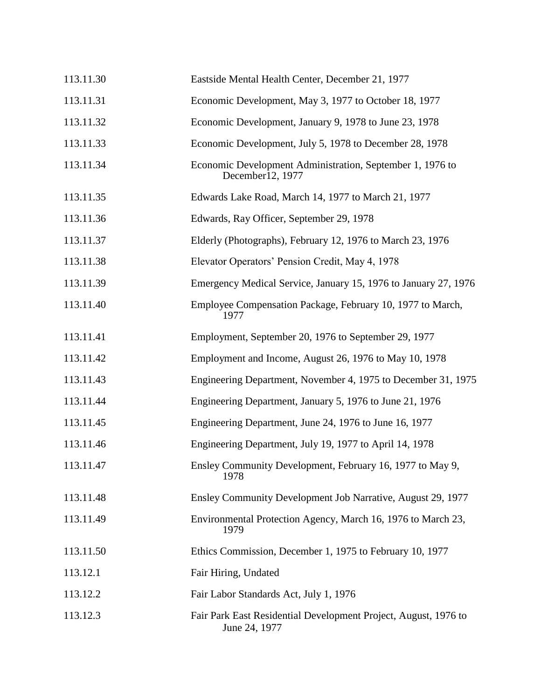| 113.11.30 | Eastside Mental Health Center, December 21, 1977                                 |
|-----------|----------------------------------------------------------------------------------|
| 113.11.31 | Economic Development, May 3, 1977 to October 18, 1977                            |
| 113.11.32 | Economic Development, January 9, 1978 to June 23, 1978                           |
| 113.11.33 | Economic Development, July 5, 1978 to December 28, 1978                          |
| 113.11.34 | Economic Development Administration, September 1, 1976 to<br>December12, 1977    |
| 113.11.35 | Edwards Lake Road, March 14, 1977 to March 21, 1977                              |
| 113.11.36 | Edwards, Ray Officer, September 29, 1978                                         |
| 113.11.37 | Elderly (Photographs), February 12, 1976 to March 23, 1976                       |
| 113.11.38 | Elevator Operators' Pension Credit, May 4, 1978                                  |
| 113.11.39 | Emergency Medical Service, January 15, 1976 to January 27, 1976                  |
| 113.11.40 | Employee Compensation Package, February 10, 1977 to March,<br>1977               |
| 113.11.41 | Employment, September 20, 1976 to September 29, 1977                             |
| 113.11.42 | Employment and Income, August 26, 1976 to May 10, 1978                           |
| 113.11.43 | Engineering Department, November 4, 1975 to December 31, 1975                    |
| 113.11.44 | Engineering Department, January 5, 1976 to June 21, 1976                         |
| 113.11.45 | Engineering Department, June 24, 1976 to June 16, 1977                           |
| 113.11.46 | Engineering Department, July 19, 1977 to April 14, 1978                          |
| 113.11.47 | Ensley Community Development, February 16, 1977 to May 9,<br>1978                |
| 113.11.48 | Ensley Community Development Job Narrative, August 29, 1977                      |
| 113.11.49 | Environmental Protection Agency, March 16, 1976 to March 23,<br>1979             |
| 113.11.50 | Ethics Commission, December 1, 1975 to February 10, 1977                         |
| 113.12.1  | Fair Hiring, Undated                                                             |
| 113.12.2  | Fair Labor Standards Act, July 1, 1976                                           |
| 113.12.3  | Fair Park East Residential Development Project, August, 1976 to<br>June 24, 1977 |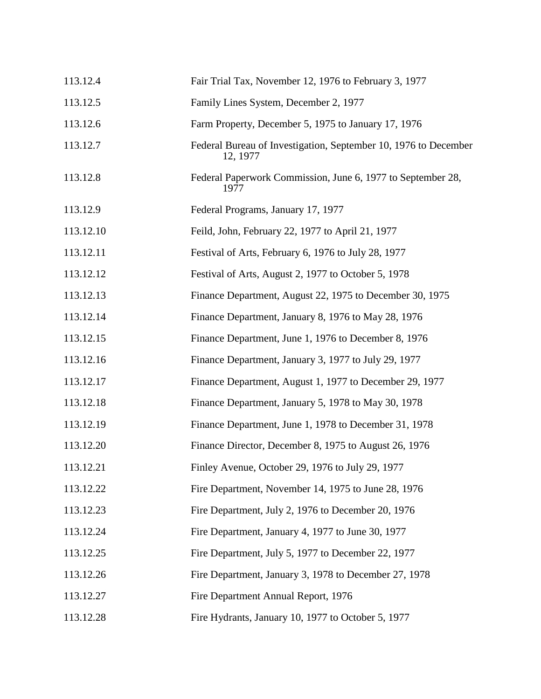| 113.12.4  | Fair Trial Tax, November 12, 1976 to February 3, 1977                       |
|-----------|-----------------------------------------------------------------------------|
| 113.12.5  | Family Lines System, December 2, 1977                                       |
| 113.12.6  | Farm Property, December 5, 1975 to January 17, 1976                         |
| 113.12.7  | Federal Bureau of Investigation, September 10, 1976 to December<br>12, 1977 |
| 113.12.8  | Federal Paperwork Commission, June 6, 1977 to September 28,<br>1977         |
| 113.12.9  | Federal Programs, January 17, 1977                                          |
| 113.12.10 | Feild, John, February 22, 1977 to April 21, 1977                            |
| 113.12.11 | Festival of Arts, February 6, 1976 to July 28, 1977                         |
| 113.12.12 | Festival of Arts, August 2, 1977 to October 5, 1978                         |
| 113.12.13 | Finance Department, August 22, 1975 to December 30, 1975                    |
| 113.12.14 | Finance Department, January 8, 1976 to May 28, 1976                         |
| 113.12.15 | Finance Department, June 1, 1976 to December 8, 1976                        |
| 113.12.16 | Finance Department, January 3, 1977 to July 29, 1977                        |
| 113.12.17 | Finance Department, August 1, 1977 to December 29, 1977                     |
| 113.12.18 | Finance Department, January 5, 1978 to May 30, 1978                         |
| 113.12.19 | Finance Department, June 1, 1978 to December 31, 1978                       |
| 113.12.20 | Finance Director, December 8, 1975 to August 26, 1976                       |
| 113.12.21 | Finley Avenue, October 29, 1976 to July 29, 1977                            |
| 113.12.22 | Fire Department, November 14, 1975 to June 28, 1976                         |
| 113.12.23 | Fire Department, July 2, 1976 to December 20, 1976                          |
| 113.12.24 | Fire Department, January 4, 1977 to June 30, 1977                           |
| 113.12.25 | Fire Department, July 5, 1977 to December 22, 1977                          |
| 113.12.26 | Fire Department, January 3, 1978 to December 27, 1978                       |
| 113.12.27 | Fire Department Annual Report, 1976                                         |
| 113.12.28 | Fire Hydrants, January 10, 1977 to October 5, 1977                          |
|           |                                                                             |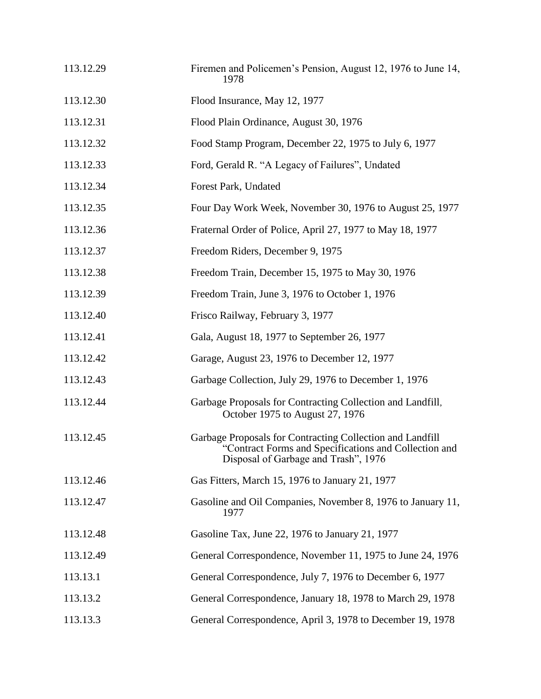| 113.12.29 | Firemen and Policemen's Pension, August 12, 1976 to June 14,<br>1978                                                                                       |
|-----------|------------------------------------------------------------------------------------------------------------------------------------------------------------|
| 113.12.30 | Flood Insurance, May 12, 1977                                                                                                                              |
| 113.12.31 | Flood Plain Ordinance, August 30, 1976                                                                                                                     |
| 113.12.32 | Food Stamp Program, December 22, 1975 to July 6, 1977                                                                                                      |
| 113.12.33 | Ford, Gerald R. "A Legacy of Failures", Undated                                                                                                            |
| 113.12.34 | Forest Park, Undated                                                                                                                                       |
| 113.12.35 | Four Day Work Week, November 30, 1976 to August 25, 1977                                                                                                   |
| 113.12.36 | Fraternal Order of Police, April 27, 1977 to May 18, 1977                                                                                                  |
| 113.12.37 | Freedom Riders, December 9, 1975                                                                                                                           |
| 113.12.38 | Freedom Train, December 15, 1975 to May 30, 1976                                                                                                           |
| 113.12.39 | Freedom Train, June 3, 1976 to October 1, 1976                                                                                                             |
| 113.12.40 | Frisco Railway, February 3, 1977                                                                                                                           |
| 113.12.41 | Gala, August 18, 1977 to September 26, 1977                                                                                                                |
| 113.12.42 | Garage, August 23, 1976 to December 12, 1977                                                                                                               |
| 113.12.43 | Garbage Collection, July 29, 1976 to December 1, 1976                                                                                                      |
| 113.12.44 | Garbage Proposals for Contracting Collection and Landfill,<br>October 1975 to August 27, 1976                                                              |
| 113.12.45 | Garbage Proposals for Contracting Collection and Landfill<br>"Contract Forms and Specifications and Collection and<br>Disposal of Garbage and Trash", 1976 |
| 113.12.46 | Gas Fitters, March 15, 1976 to January 21, 1977                                                                                                            |
| 113.12.47 | Gasoline and Oil Companies, November 8, 1976 to January 11,<br>1977                                                                                        |
| 113.12.48 | Gasoline Tax, June 22, 1976 to January 21, 1977                                                                                                            |
| 113.12.49 | General Correspondence, November 11, 1975 to June 24, 1976                                                                                                 |
| 113.13.1  | General Correspondence, July 7, 1976 to December 6, 1977                                                                                                   |
| 113.13.2  | General Correspondence, January 18, 1978 to March 29, 1978                                                                                                 |
| 113.13.3  | General Correspondence, April 3, 1978 to December 19, 1978                                                                                                 |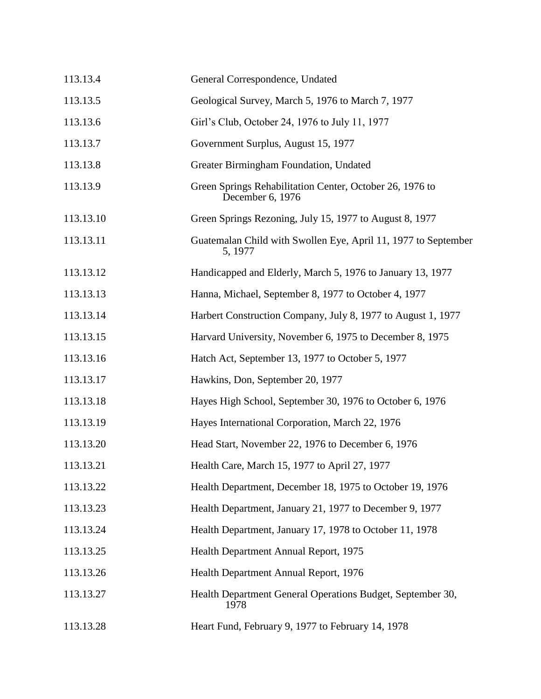| 113.13.4  | General Correspondence, Undated                                              |
|-----------|------------------------------------------------------------------------------|
| 113.13.5  | Geological Survey, March 5, 1976 to March 7, 1977                            |
| 113.13.6  | Girl's Club, October 24, 1976 to July 11, 1977                               |
| 113.13.7  | Government Surplus, August 15, 1977                                          |
| 113.13.8  | Greater Birmingham Foundation, Undated                                       |
| 113.13.9  | Green Springs Rehabilitation Center, October 26, 1976 to<br>December 6, 1976 |
| 113.13.10 | Green Springs Rezoning, July 15, 1977 to August 8, 1977                      |
| 113.13.11 | Guatemalan Child with Swollen Eye, April 11, 1977 to September<br>5, 1977    |
| 113.13.12 | Handicapped and Elderly, March 5, 1976 to January 13, 1977                   |
| 113.13.13 | Hanna, Michael, September 8, 1977 to October 4, 1977                         |
| 113.13.14 | Harbert Construction Company, July 8, 1977 to August 1, 1977                 |
| 113.13.15 | Harvard University, November 6, 1975 to December 8, 1975                     |
| 113.13.16 | Hatch Act, September 13, 1977 to October 5, 1977                             |
| 113.13.17 | Hawkins, Don, September 20, 1977                                             |
| 113.13.18 | Hayes High School, September 30, 1976 to October 6, 1976                     |
| 113.13.19 | Hayes International Corporation, March 22, 1976                              |
| 113.13.20 | Head Start, November 22, 1976 to December 6, 1976                            |
| 113.13.21 | Health Care, March 15, 1977 to April 27, 1977                                |
| 113.13.22 | Health Department, December 18, 1975 to October 19, 1976                     |
| 113.13.23 | Health Department, January 21, 1977 to December 9, 1977                      |
| 113.13.24 | Health Department, January 17, 1978 to October 11, 1978                      |
| 113.13.25 | Health Department Annual Report, 1975                                        |
| 113.13.26 | Health Department Annual Report, 1976                                        |
| 113.13.27 | Health Department General Operations Budget, September 30,<br>1978           |
| 113.13.28 | Heart Fund, February 9, 1977 to February 14, 1978                            |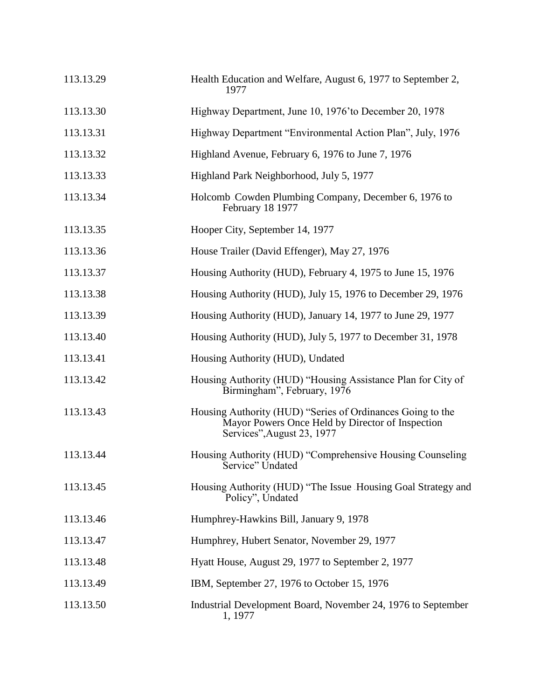| 113.13.29 | Health Education and Welfare, August 6, 1977 to September 2,<br>1977                                                                         |
|-----------|----------------------------------------------------------------------------------------------------------------------------------------------|
| 113.13.30 | Highway Department, June 10, 1976' to December 20, 1978                                                                                      |
| 113.13.31 | Highway Department "Environmental Action Plan", July, 1976                                                                                   |
| 113.13.32 | Highland Avenue, February 6, 1976 to June 7, 1976                                                                                            |
| 113.13.33 | Highland Park Neighborhood, July 5, 1977                                                                                                     |
| 113.13.34 | Holcomb Cowden Plumbing Company, December 6, 1976 to<br>February 18 1977                                                                     |
| 113.13.35 | Hooper City, September 14, 1977                                                                                                              |
| 113.13.36 | House Trailer (David Effenger), May 27, 1976                                                                                                 |
| 113.13.37 | Housing Authority (HUD), February 4, 1975 to June 15, 1976                                                                                   |
| 113.13.38 | Housing Authority (HUD), July 15, 1976 to December 29, 1976                                                                                  |
| 113.13.39 | Housing Authority (HUD), January 14, 1977 to June 29, 1977                                                                                   |
| 113.13.40 | Housing Authority (HUD), July 5, 1977 to December 31, 1978                                                                                   |
| 113.13.41 | Housing Authority (HUD), Undated                                                                                                             |
| 113.13.42 | Housing Authority (HUD) "Housing Assistance Plan for City of<br>Birmingham", February, 1976                                                  |
| 113.13.43 | Housing Authority (HUD) "Series of Ordinances Going to the<br>Mayor Powers Once Held by Director of Inspection<br>Services", August 23, 1977 |
| 113.13.44 | Housing Authority (HUD) "Comprehensive Housing Counseling<br>Service" Undated                                                                |
| 113.13.45 | Housing Authority (HUD) "The Issue Housing Goal Strategy and<br>Policy", Undated                                                             |
| 113.13.46 | Humphrey-Hawkins Bill, January 9, 1978                                                                                                       |
| 113.13.47 | Humphrey, Hubert Senator, November 29, 1977                                                                                                  |
| 113.13.48 | Hyatt House, August 29, 1977 to September 2, 1977                                                                                            |
| 113.13.49 | IBM, September 27, 1976 to October 15, 1976                                                                                                  |
| 113.13.50 | Industrial Development Board, November 24, 1976 to September<br>1, 1977                                                                      |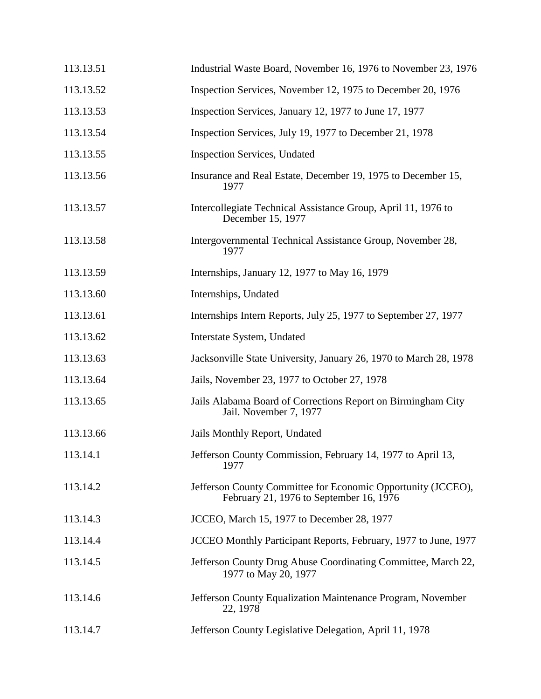| 113.13.51 | Industrial Waste Board, November 16, 1976 to November 23, 1976                                          |
|-----------|---------------------------------------------------------------------------------------------------------|
| 113.13.52 | Inspection Services, November 12, 1975 to December 20, 1976                                             |
| 113.13.53 | Inspection Services, January 12, 1977 to June 17, 1977                                                  |
| 113.13.54 | Inspection Services, July 19, 1977 to December 21, 1978                                                 |
| 113.13.55 | <b>Inspection Services</b> , Undated                                                                    |
| 113.13.56 | Insurance and Real Estate, December 19, 1975 to December 15,<br>1977                                    |
| 113.13.57 | Intercollegiate Technical Assistance Group, April 11, 1976 to<br>December 15, 1977                      |
| 113.13.58 | Intergovernmental Technical Assistance Group, November 28,<br>1977                                      |
| 113.13.59 | Internships, January 12, 1977 to May 16, 1979                                                           |
| 113.13.60 | Internships, Undated                                                                                    |
| 113.13.61 | Internships Intern Reports, July 25, 1977 to September 27, 1977                                         |
| 113.13.62 | Interstate System, Undated                                                                              |
| 113.13.63 | Jacksonville State University, January 26, 1970 to March 28, 1978                                       |
| 113.13.64 | Jails, November 23, 1977 to October 27, 1978                                                            |
| 113.13.65 | Jails Alabama Board of Corrections Report on Birmingham City<br>Jail. November 7, 1977                  |
| 113.13.66 | Jails Monthly Report, Undated                                                                           |
| 113.14.1  | Jefferson County Commission, February 14, 1977 to April 13,<br>1977                                     |
| 113.14.2  | Jefferson County Committee for Economic Opportunity (JCCEO),<br>February 21, 1976 to September 16, 1976 |
| 113.14.3  | JCCEO, March 15, 1977 to December 28, 1977                                                              |
| 113.14.4  | JCCEO Monthly Participant Reports, February, 1977 to June, 1977                                         |
| 113.14.5  | Jefferson County Drug Abuse Coordinating Committee, March 22,<br>1977 to May 20, 1977                   |
| 113.14.6  | Jefferson County Equalization Maintenance Program, November<br>22, 1978                                 |
| 113.14.7  | Jefferson County Legislative Delegation, April 11, 1978                                                 |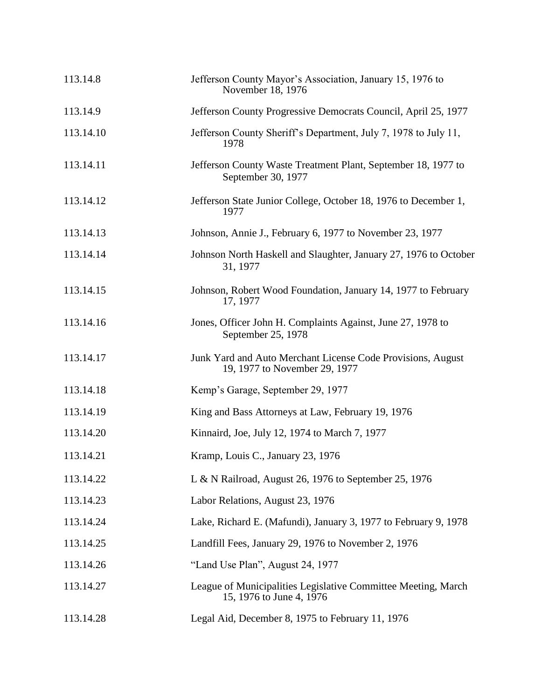| 113.14.8  | Jefferson County Mayor's Association, January 15, 1976 to<br>November 18, 1976               |
|-----------|----------------------------------------------------------------------------------------------|
| 113.14.9  | Jefferson County Progressive Democrats Council, April 25, 1977                               |
| 113.14.10 | Jefferson County Sheriff's Department, July 7, 1978 to July 11,<br>1978                      |
| 113.14.11 | Jefferson County Waste Treatment Plant, September 18, 1977 to<br>September 30, 1977          |
| 113.14.12 | Jefferson State Junior College, October 18, 1976 to December 1,<br>1977                      |
| 113.14.13 | Johnson, Annie J., February 6, 1977 to November 23, 1977                                     |
| 113.14.14 | Johnson North Haskell and Slaughter, January 27, 1976 to October<br>31, 1977                 |
| 113.14.15 | Johnson, Robert Wood Foundation, January 14, 1977 to February<br>17, 1977                    |
| 113.14.16 | Jones, Officer John H. Complaints Against, June 27, 1978 to<br>September 25, 1978            |
| 113.14.17 | Junk Yard and Auto Merchant License Code Provisions, August<br>19, 1977 to November 29, 1977 |
| 113.14.18 | Kemp's Garage, September 29, 1977                                                            |
| 113.14.19 | King and Bass Attorneys at Law, February 19, 1976                                            |
| 113.14.20 | Kinnaird, Joe, July 12, 1974 to March 7, 1977                                                |
| 113.14.21 | Kramp, Louis C., January 23, 1976                                                            |
| 113.14.22 | L & N Railroad, August 26, 1976 to September 25, 1976                                        |
| 113.14.23 | Labor Relations, August 23, 1976                                                             |
| 113.14.24 | Lake, Richard E. (Mafundi), January 3, 1977 to February 9, 1978                              |
| 113.14.25 | Landfill Fees, January 29, 1976 to November 2, 1976                                          |
| 113.14.26 | "Land Use Plan", August 24, 1977                                                             |
| 113.14.27 | League of Municipalities Legislative Committee Meeting, March<br>15, 1976 to June 4, 1976    |
| 113.14.28 | Legal Aid, December 8, 1975 to February 11, 1976                                             |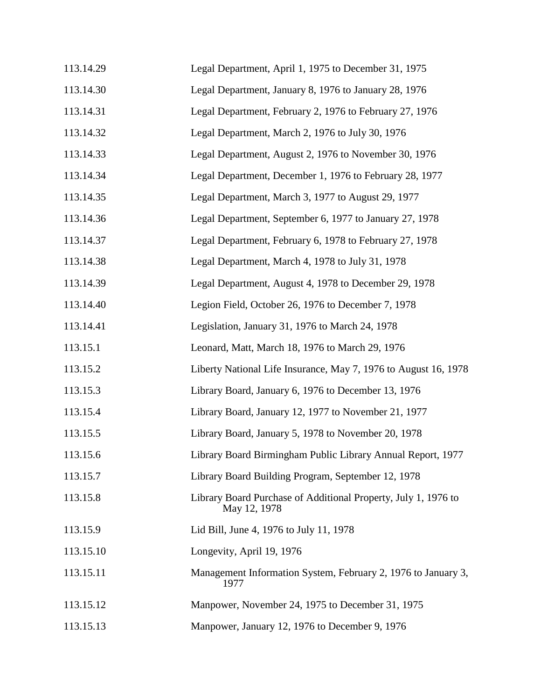| 113.14.29 | Legal Department, April 1, 1975 to December 31, 1975                           |
|-----------|--------------------------------------------------------------------------------|
| 113.14.30 | Legal Department, January 8, 1976 to January 28, 1976                          |
| 113.14.31 | Legal Department, February 2, 1976 to February 27, 1976                        |
| 113.14.32 | Legal Department, March 2, 1976 to July 30, 1976                               |
| 113.14.33 | Legal Department, August 2, 1976 to November 30, 1976                          |
| 113.14.34 | Legal Department, December 1, 1976 to February 28, 1977                        |
| 113.14.35 | Legal Department, March 3, 1977 to August 29, 1977                             |
| 113.14.36 | Legal Department, September 6, 1977 to January 27, 1978                        |
| 113.14.37 | Legal Department, February 6, 1978 to February 27, 1978                        |
| 113.14.38 | Legal Department, March 4, 1978 to July 31, 1978                               |
| 113.14.39 | Legal Department, August 4, 1978 to December 29, 1978                          |
| 113.14.40 | Legion Field, October 26, 1976 to December 7, 1978                             |
| 113.14.41 | Legislation, January 31, 1976 to March 24, 1978                                |
| 113.15.1  | Leonard, Matt, March 18, 1976 to March 29, 1976                                |
| 113.15.2  | Liberty National Life Insurance, May 7, 1976 to August 16, 1978                |
| 113.15.3  | Library Board, January 6, 1976 to December 13, 1976                            |
| 113.15.4  | Library Board, January 12, 1977 to November 21, 1977                           |
| 113.15.5  | Library Board, January 5, 1978 to November 20, 1978                            |
| 113.15.6  | Library Board Birmingham Public Library Annual Report, 1977                    |
| 113.15.7  | Library Board Building Program, September 12, 1978                             |
| 113.15.8  | Library Board Purchase of Additional Property, July 1, 1976 to<br>May 12, 1978 |
| 113.15.9  | Lid Bill, June 4, 1976 to July 11, 1978                                        |
| 113.15.10 | Longevity, April 19, 1976                                                      |
| 113.15.11 | Management Information System, February 2, 1976 to January 3,<br>1977          |
| 113.15.12 | Manpower, November 24, 1975 to December 31, 1975                               |
| 113.15.13 | Manpower, January 12, 1976 to December 9, 1976                                 |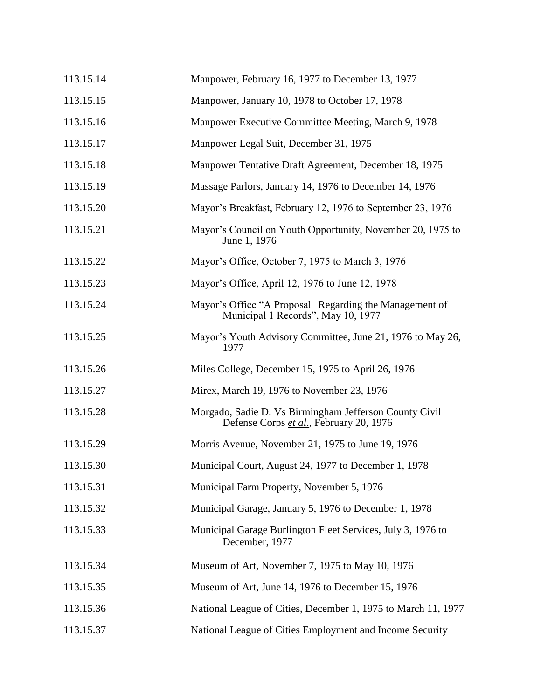| 113.15.14 | Manpower, February 16, 1977 to December 13, 1977                                                  |
|-----------|---------------------------------------------------------------------------------------------------|
| 113.15.15 | Manpower, January 10, 1978 to October 17, 1978                                                    |
| 113.15.16 | Manpower Executive Committee Meeting, March 9, 1978                                               |
| 113.15.17 | Manpower Legal Suit, December 31, 1975                                                            |
| 113.15.18 | Manpower Tentative Draft Agreement, December 18, 1975                                             |
| 113.15.19 | Massage Parlors, January 14, 1976 to December 14, 1976                                            |
| 113.15.20 | Mayor's Breakfast, February 12, 1976 to September 23, 1976                                        |
| 113.15.21 | Mayor's Council on Youth Opportunity, November 20, 1975 to<br>June 1, 1976                        |
| 113.15.22 | Mayor's Office, October 7, 1975 to March 3, 1976                                                  |
| 113.15.23 | Mayor's Office, April 12, 1976 to June 12, 1978                                                   |
| 113.15.24 | Mayor's Office "A Proposal Regarding the Management of<br>Municipal 1 Records", May 10, 1977      |
| 113.15.25 | Mayor's Youth Advisory Committee, June 21, 1976 to May 26,<br>1977                                |
| 113.15.26 | Miles College, December 15, 1975 to April 26, 1976                                                |
| 113.15.27 | Mirex, March 19, 1976 to November 23, 1976                                                        |
| 113.15.28 | Morgado, Sadie D. Vs Birmingham Jefferson County Civil<br>Defense Corps et al., February 20, 1976 |
| 113.15.29 | Morris Avenue, November 21, 1975 to June 19, 1976                                                 |
| 113.15.30 | Municipal Court, August 24, 1977 to December 1, 1978                                              |
| 113.15.31 | Municipal Farm Property, November 5, 1976                                                         |
| 113.15.32 | Municipal Garage, January 5, 1976 to December 1, 1978                                             |
| 113.15.33 | Municipal Garage Burlington Fleet Services, July 3, 1976 to<br>December, 1977                     |
| 113.15.34 | Museum of Art, November 7, 1975 to May 10, 1976                                                   |
| 113.15.35 | Museum of Art, June 14, 1976 to December 15, 1976                                                 |
| 113.15.36 | National League of Cities, December 1, 1975 to March 11, 1977                                     |
| 113.15.37 | National League of Cities Employment and Income Security                                          |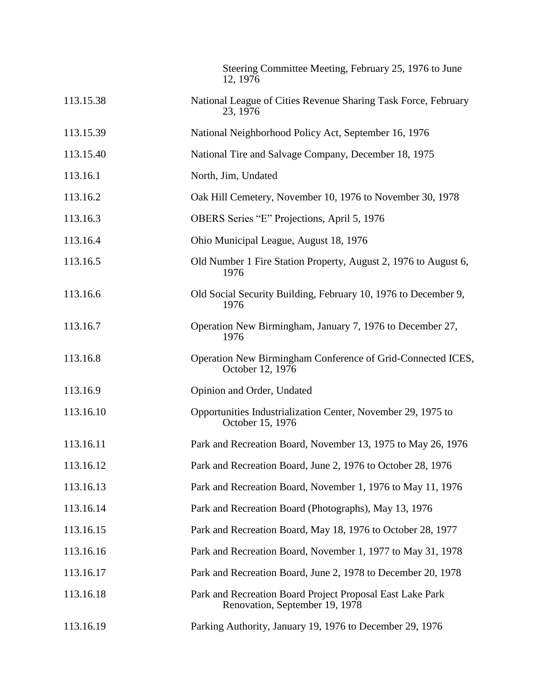|           | Steering Committee Meeting, February 25, 1976 to June<br>12, 1976                           |
|-----------|---------------------------------------------------------------------------------------------|
| 113.15.38 | National League of Cities Revenue Sharing Task Force, February<br>23, 1976                  |
| 113.15.39 | National Neighborhood Policy Act, September 16, 1976                                        |
| 113.15.40 | National Tire and Salvage Company, December 18, 1975                                        |
| 113.16.1  | North, Jim, Undated                                                                         |
| 113.16.2  | Oak Hill Cemetery, November 10, 1976 to November 30, 1978                                   |
| 113.16.3  | OBERS Series "E" Projections, April 5, 1976                                                 |
| 113.16.4  | Ohio Municipal League, August 18, 1976                                                      |
| 113.16.5  | Old Number 1 Fire Station Property, August 2, 1976 to August 6,<br>1976                     |
| 113.16.6  | Old Social Security Building, February 10, 1976 to December 9,<br>1976                      |
| 113.16.7  | Operation New Birmingham, January 7, 1976 to December 27,<br>1976                           |
| 113.16.8  | Operation New Birmingham Conference of Grid-Connected ICES,<br>October 12, 1976             |
| 113.16.9  | Opinion and Order, Undated                                                                  |
| 113.16.10 | Opportunities Industrialization Center, November 29, 1975 to<br>October 15, 1976            |
| 113.16.11 | Park and Recreation Board, November 13, 1975 to May 26, 1976                                |
| 113.16.12 | Park and Recreation Board, June 2, 1976 to October 28, 1976                                 |
| 113.16.13 | Park and Recreation Board, November 1, 1976 to May 11, 1976                                 |
| 113.16.14 | Park and Recreation Board (Photographs), May 13, 1976                                       |
| 113.16.15 | Park and Recreation Board, May 18, 1976 to October 28, 1977                                 |
| 113.16.16 | Park and Recreation Board, November 1, 1977 to May 31, 1978                                 |
| 113.16.17 | Park and Recreation Board, June 2, 1978 to December 20, 1978                                |
| 113.16.18 | Park and Recreation Board Project Proposal East Lake Park<br>Renovation, September 19, 1978 |
| 113.16.19 | Parking Authority, January 19, 1976 to December 29, 1976                                    |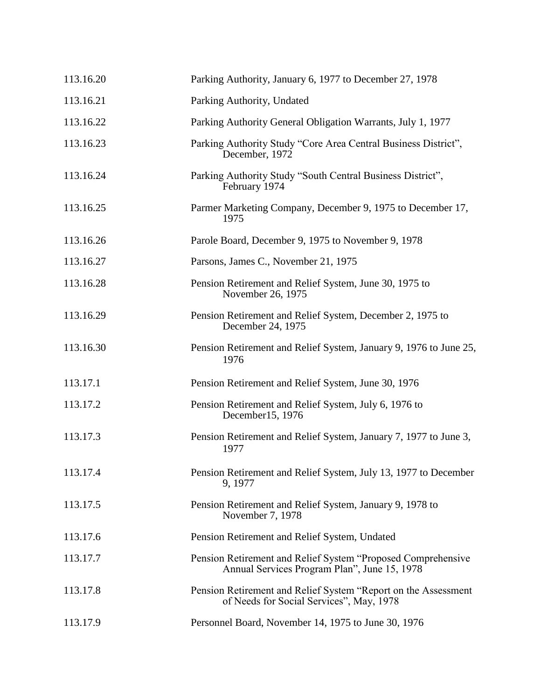| 113.16.20 | Parking Authority, January 6, 1977 to December 27, 1978                                                      |
|-----------|--------------------------------------------------------------------------------------------------------------|
| 113.16.21 | Parking Authority, Undated                                                                                   |
| 113.16.22 | Parking Authority General Obligation Warrants, July 1, 1977                                                  |
| 113.16.23 | Parking Authority Study "Core Area Central Business District",<br>December, 1972                             |
| 113.16.24 | Parking Authority Study "South Central Business District",<br>February 1974                                  |
| 113.16.25 | Parmer Marketing Company, December 9, 1975 to December 17,<br>1975                                           |
| 113.16.26 | Parole Board, December 9, 1975 to November 9, 1978                                                           |
| 113.16.27 | Parsons, James C., November 21, 1975                                                                         |
| 113.16.28 | Pension Retirement and Relief System, June 30, 1975 to<br>November 26, 1975                                  |
| 113.16.29 | Pension Retirement and Relief System, December 2, 1975 to<br>December 24, 1975                               |
| 113.16.30 | Pension Retirement and Relief System, January 9, 1976 to June 25,<br>1976                                    |
| 113.17.1  | Pension Retirement and Relief System, June 30, 1976                                                          |
| 113.17.2  | Pension Retirement and Relief System, July 6, 1976 to<br>December15, 1976                                    |
| 113.17.3  | Pension Retirement and Relief System, January 7, 1977 to June 3,<br>1977                                     |
| 113.17.4  | Pension Retirement and Relief System, July 13, 1977 to December<br>9, 1977                                   |
| 113.17.5  | Pension Retirement and Relief System, January 9, 1978 to<br>November 7, 1978                                 |
| 113.17.6  | Pension Retirement and Relief System, Undated                                                                |
| 113.17.7  | Pension Retirement and Relief System "Proposed Comprehensive<br>Annual Services Program Plan", June 15, 1978 |
| 113.17.8  | Pension Retirement and Relief System "Report on the Assessment"<br>of Needs for Social Services", May, 1978  |
| 113.17.9  | Personnel Board, November 14, 1975 to June 30, 1976                                                          |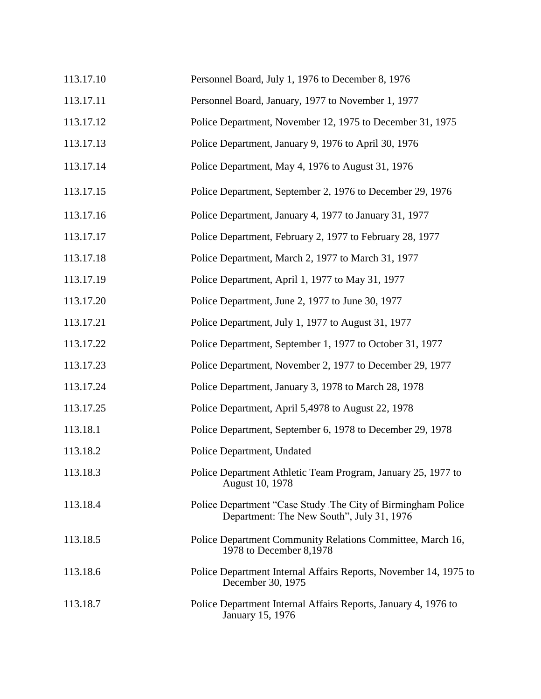| 113.17.10 | Personnel Board, July 1, 1976 to December 8, 1976                                                         |
|-----------|-----------------------------------------------------------------------------------------------------------|
| 113.17.11 | Personnel Board, January, 1977 to November 1, 1977                                                        |
| 113.17.12 | Police Department, November 12, 1975 to December 31, 1975                                                 |
| 113.17.13 | Police Department, January 9, 1976 to April 30, 1976                                                      |
| 113.17.14 | Police Department, May 4, 1976 to August 31, 1976                                                         |
| 113.17.15 | Police Department, September 2, 1976 to December 29, 1976                                                 |
| 113.17.16 | Police Department, January 4, 1977 to January 31, 1977                                                    |
| 113.17.17 | Police Department, February 2, 1977 to February 28, 1977                                                  |
| 113.17.18 | Police Department, March 2, 1977 to March 31, 1977                                                        |
| 113.17.19 | Police Department, April 1, 1977 to May 31, 1977                                                          |
| 113.17.20 | Police Department, June 2, 1977 to June 30, 1977                                                          |
| 113.17.21 | Police Department, July 1, 1977 to August 31, 1977                                                        |
| 113.17.22 | Police Department, September 1, 1977 to October 31, 1977                                                  |
| 113.17.23 | Police Department, November 2, 1977 to December 29, 1977                                                  |
| 113.17.24 | Police Department, January 3, 1978 to March 28, 1978                                                      |
| 113.17.25 | Police Department, April 5,4978 to August 22, 1978                                                        |
| 113.18.1  | Police Department, September 6, 1978 to December 29, 1978                                                 |
| 113.18.2  | Police Department, Undated                                                                                |
| 113.18.3  | Police Department Athletic Team Program, January 25, 1977 to<br>August 10, 1978                           |
| 113.18.4  | Police Department "Case Study The City of Birmingham Police"<br>Department: The New South", July 31, 1976 |
| 113.18.5  | Police Department Community Relations Committee, March 16,<br>1978 to December 8,1978                     |
| 113.18.6  | Police Department Internal Affairs Reports, November 14, 1975 to<br>December 30, 1975                     |
| 113.18.7  | Police Department Internal Affairs Reports, January 4, 1976 to<br>January 15, 1976                        |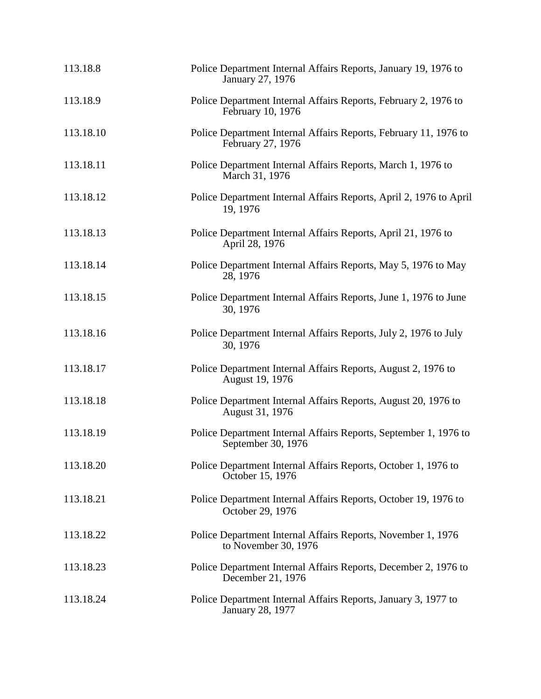| 113.18.8  | Police Department Internal Affairs Reports, January 19, 1976 to<br>January 27, 1976       |
|-----------|-------------------------------------------------------------------------------------------|
| 113.18.9  | Police Department Internal Affairs Reports, February 2, 1976 to<br>February 10, 1976      |
| 113.18.10 | Police Department Internal Affairs Reports, February 11, 1976 to<br>February 27, 1976     |
| 113.18.11 | Police Department Internal Affairs Reports, March 1, 1976 to<br>March 31, 1976            |
| 113.18.12 | Police Department Internal Affairs Reports, April 2, 1976 to April<br>19, 1976            |
| 113.18.13 | Police Department Internal Affairs Reports, April 21, 1976 to<br>April 28, 1976           |
| 113.18.14 | Police Department Internal Affairs Reports, May 5, 1976 to May<br>28, 1976                |
| 113.18.15 | Police Department Internal Affairs Reports, June 1, 1976 to June<br>30, 1976              |
| 113.18.16 | Police Department Internal Affairs Reports, July 2, 1976 to July<br>30, 1976              |
| 113.18.17 | Police Department Internal Affairs Reports, August 2, 1976 to<br>August 19, 1976          |
| 113.18.18 | Police Department Internal Affairs Reports, August 20, 1976 to<br>August 31, 1976         |
| 113.18.19 | Police Department Internal Affairs Reports, September 1, 1976 to<br>September 30, 1976    |
| 113.18.20 | Police Department Internal Affairs Reports, October 1, 1976 to<br>October 15, 1976        |
| 113.18.21 | Police Department Internal Affairs Reports, October 19, 1976 to<br>October 29, 1976       |
| 113.18.22 | Police Department Internal Affairs Reports, November 1, 1976<br>to November 30, 1976      |
| 113.18.23 | Police Department Internal Affairs Reports, December 2, 1976 to<br>December 21, 1976      |
| 113.18.24 | Police Department Internal Affairs Reports, January 3, 1977 to<br><b>January 28, 1977</b> |
|           |                                                                                           |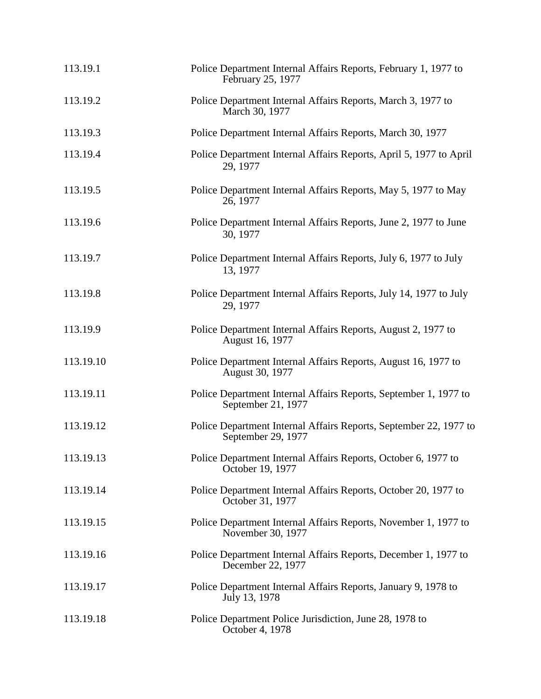| 113.19.1  | Police Department Internal Affairs Reports, February 1, 1977 to<br>February 25, 1977    |
|-----------|-----------------------------------------------------------------------------------------|
| 113.19.2  | Police Department Internal Affairs Reports, March 3, 1977 to<br>March 30, 1977          |
| 113.19.3  | Police Department Internal Affairs Reports, March 30, 1977                              |
| 113.19.4  | Police Department Internal Affairs Reports, April 5, 1977 to April<br>29, 1977          |
| 113.19.5  | Police Department Internal Affairs Reports, May 5, 1977 to May<br>26, 1977              |
| 113.19.6  | Police Department Internal Affairs Reports, June 2, 1977 to June<br>30, 1977            |
| 113.19.7  | Police Department Internal Affairs Reports, July 6, 1977 to July<br>13, 1977            |
| 113.19.8  | Police Department Internal Affairs Reports, July 14, 1977 to July<br>29, 1977           |
| 113.19.9  | Police Department Internal Affairs Reports, August 2, 1977 to<br>August 16, 1977        |
| 113.19.10 | Police Department Internal Affairs Reports, August 16, 1977 to<br>August 30, 1977       |
| 113.19.11 | Police Department Internal Affairs Reports, September 1, 1977 to<br>September 21, 1977  |
| 113.19.12 | Police Department Internal Affairs Reports, September 22, 1977 to<br>September 29, 1977 |
| 113.19.13 | Police Department Internal Affairs Reports, October 6, 1977 to<br>October 19, 1977      |
| 113.19.14 | Police Department Internal Affairs Reports, October 20, 1977 to<br>October 31, 1977     |
| 113.19.15 | Police Department Internal Affairs Reports, November 1, 1977 to<br>November 30, 1977    |
| 113.19.16 | Police Department Internal Affairs Reports, December 1, 1977 to<br>December 22, 1977    |
| 113.19.17 | Police Department Internal Affairs Reports, January 9, 1978 to<br>July 13, 1978         |
| 113.19.18 | Police Department Police Jurisdiction, June 28, 1978 to<br>October 4, 1978              |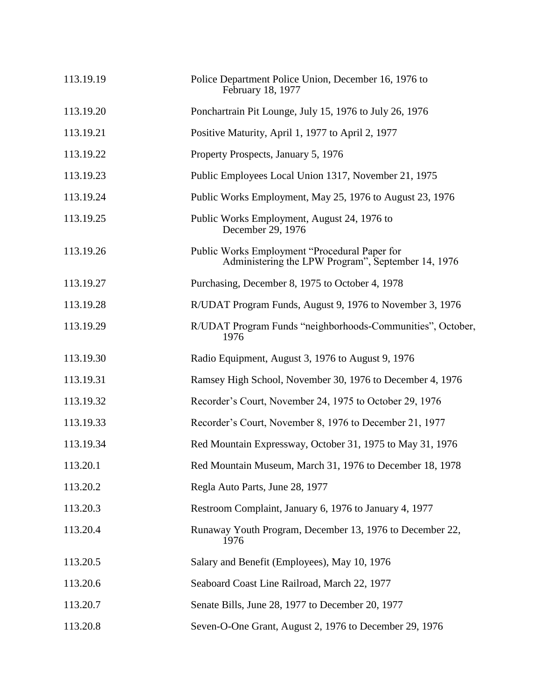| 113.19.19 | Police Department Police Union, December 16, 1976 to<br>February 18, 1977                           |
|-----------|-----------------------------------------------------------------------------------------------------|
| 113.19.20 | Ponchartrain Pit Lounge, July 15, 1976 to July 26, 1976                                             |
| 113.19.21 | Positive Maturity, April 1, 1977 to April 2, 1977                                                   |
| 113.19.22 | Property Prospects, January 5, 1976                                                                 |
| 113.19.23 | Public Employees Local Union 1317, November 21, 1975                                                |
| 113.19.24 | Public Works Employment, May 25, 1976 to August 23, 1976                                            |
| 113.19.25 | Public Works Employment, August 24, 1976 to<br>December 29, 1976                                    |
| 113.19.26 | Public Works Employment "Procedural Paper for<br>Administering the LPW Program", September 14, 1976 |
| 113.19.27 | Purchasing, December 8, 1975 to October 4, 1978                                                     |
| 113.19.28 | R/UDAT Program Funds, August 9, 1976 to November 3, 1976                                            |
| 113.19.29 | R/UDAT Program Funds "neighborhoods-Communities", October,<br>1976                                  |
| 113.19.30 | Radio Equipment, August 3, 1976 to August 9, 1976                                                   |
| 113.19.31 | Ramsey High School, November 30, 1976 to December 4, 1976                                           |
| 113.19.32 | Recorder's Court, November 24, 1975 to October 29, 1976                                             |
| 113.19.33 | Recorder's Court, November 8, 1976 to December 21, 1977                                             |
| 113.19.34 | Red Mountain Expressway, October 31, 1975 to May 31, 1976                                           |
| 113.20.1  | Red Mountain Museum, March 31, 1976 to December 18, 1978                                            |
| 113.20.2  | Regla Auto Parts, June 28, 1977                                                                     |
| 113.20.3  | Restroom Complaint, January 6, 1976 to January 4, 1977                                              |
| 113.20.4  | Runaway Youth Program, December 13, 1976 to December 22,<br>1976                                    |
| 113.20.5  | Salary and Benefit (Employees), May 10, 1976                                                        |
| 113.20.6  | Seaboard Coast Line Railroad, March 22, 1977                                                        |
| 113.20.7  | Senate Bills, June 28, 1977 to December 20, 1977                                                    |
| 113.20.8  | Seven-O-One Grant, August 2, 1976 to December 29, 1976                                              |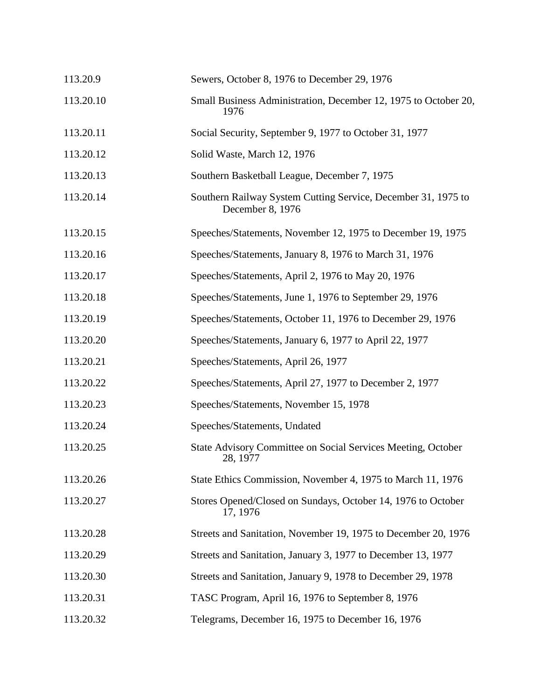| 113.20.9  | Sewers, October 8, 1976 to December 29, 1976                                      |
|-----------|-----------------------------------------------------------------------------------|
| 113.20.10 | Small Business Administration, December 12, 1975 to October 20,<br>1976           |
| 113.20.11 | Social Security, September 9, 1977 to October 31, 1977                            |
| 113.20.12 | Solid Waste, March 12, 1976                                                       |
| 113.20.13 | Southern Basketball League, December 7, 1975                                      |
| 113.20.14 | Southern Railway System Cutting Service, December 31, 1975 to<br>December 8, 1976 |
| 113.20.15 | Speeches/Statements, November 12, 1975 to December 19, 1975                       |
| 113.20.16 | Speeches/Statements, January 8, 1976 to March 31, 1976                            |
| 113.20.17 | Speeches/Statements, April 2, 1976 to May 20, 1976                                |
| 113.20.18 | Speeches/Statements, June 1, 1976 to September 29, 1976                           |
| 113.20.19 | Speeches/Statements, October 11, 1976 to December 29, 1976                        |
| 113.20.20 | Speeches/Statements, January 6, 1977 to April 22, 1977                            |
| 113.20.21 | Speeches/Statements, April 26, 1977                                               |
| 113.20.22 | Speeches/Statements, April 27, 1977 to December 2, 1977                           |
| 113.20.23 | Speeches/Statements, November 15, 1978                                            |
| 113.20.24 | Speeches/Statements, Undated                                                      |
| 113.20.25 | State Advisory Committee on Social Services Meeting, October<br>28, 1977          |
| 113.20.26 | State Ethics Commission, November 4, 1975 to March 11, 1976                       |
| 113.20.27 | Stores Opened/Closed on Sundays, October 14, 1976 to October<br>17, 1976          |
| 113.20.28 | Streets and Sanitation, November 19, 1975 to December 20, 1976                    |
| 113.20.29 | Streets and Sanitation, January 3, 1977 to December 13, 1977                      |
| 113.20.30 | Streets and Sanitation, January 9, 1978 to December 29, 1978                      |
| 113.20.31 | TASC Program, April 16, 1976 to September 8, 1976                                 |
| 113.20.32 | Telegrams, December 16, 1975 to December 16, 1976                                 |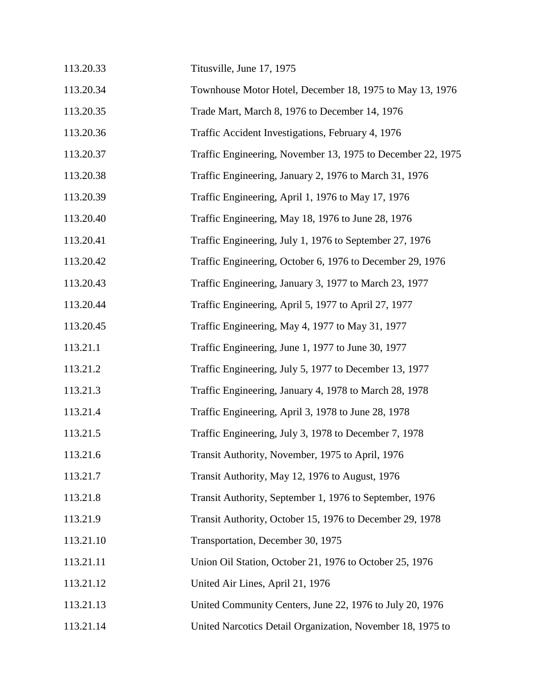| 113.20.33 | Titusville, June 17, 1975                                   |
|-----------|-------------------------------------------------------------|
| 113.20.34 | Townhouse Motor Hotel, December 18, 1975 to May 13, 1976    |
| 113.20.35 | Trade Mart, March 8, 1976 to December 14, 1976              |
| 113.20.36 | Traffic Accident Investigations, February 4, 1976           |
| 113.20.37 | Traffic Engineering, November 13, 1975 to December 22, 1975 |
| 113.20.38 | Traffic Engineering, January 2, 1976 to March 31, 1976      |
| 113.20.39 | Traffic Engineering, April 1, 1976 to May 17, 1976          |
| 113.20.40 | Traffic Engineering, May 18, 1976 to June 28, 1976          |
| 113.20.41 | Traffic Engineering, July 1, 1976 to September 27, 1976     |
| 113.20.42 | Traffic Engineering, October 6, 1976 to December 29, 1976   |
| 113.20.43 | Traffic Engineering, January 3, 1977 to March 23, 1977      |
| 113.20.44 | Traffic Engineering, April 5, 1977 to April 27, 1977        |
| 113.20.45 | Traffic Engineering, May 4, 1977 to May 31, 1977            |
| 113.21.1  | Traffic Engineering, June 1, 1977 to June 30, 1977          |
| 113.21.2  | Traffic Engineering, July 5, 1977 to December 13, 1977      |
| 113.21.3  | Traffic Engineering, January 4, 1978 to March 28, 1978      |
| 113.21.4  | Traffic Engineering, April 3, 1978 to June 28, 1978         |
| 113.21.5  | Traffic Engineering, July 3, 1978 to December 7, 1978       |
| 113.21.6  | Transit Authority, November, 1975 to April, 1976            |
| 113.21.7  | Transit Authority, May 12, 1976 to August, 1976             |
| 113.21.8  | Transit Authority, September 1, 1976 to September, 1976     |
| 113.21.9  | Transit Authority, October 15, 1976 to December 29, 1978    |
| 113.21.10 | Transportation, December 30, 1975                           |
| 113.21.11 | Union Oil Station, October 21, 1976 to October 25, 1976     |
| 113.21.12 | United Air Lines, April 21, 1976                            |
| 113.21.13 | United Community Centers, June 22, 1976 to July 20, 1976    |
| 113.21.14 | United Narcotics Detail Organization, November 18, 1975 to  |
|           |                                                             |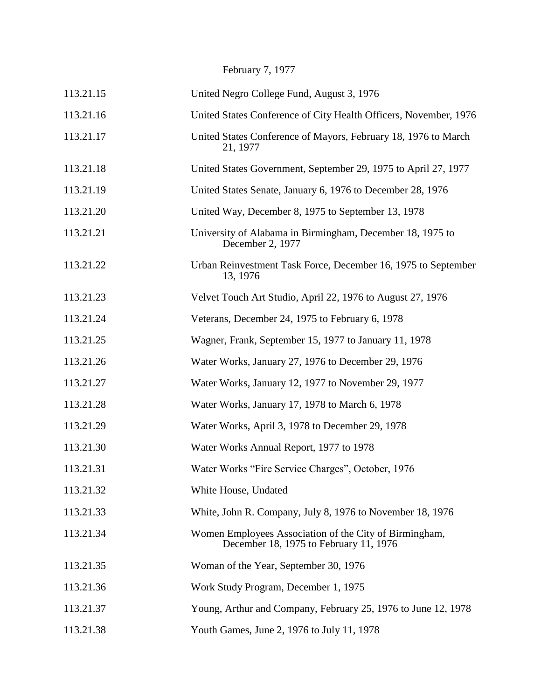February 7, 1977

| 113.21.15 | United Negro College Fund, August 3, 1976                                                        |
|-----------|--------------------------------------------------------------------------------------------------|
| 113.21.16 | United States Conference of City Health Officers, November, 1976                                 |
| 113.21.17 | United States Conference of Mayors, February 18, 1976 to March<br>21, 1977                       |
| 113.21.18 | United States Government, September 29, 1975 to April 27, 1977                                   |
| 113.21.19 | United States Senate, January 6, 1976 to December 28, 1976                                       |
| 113.21.20 | United Way, December 8, 1975 to September 13, 1978                                               |
| 113.21.21 | University of Alabama in Birmingham, December 18, 1975 to<br>December 2, 1977                    |
| 113.21.22 | Urban Reinvestment Task Force, December 16, 1975 to September<br>13, 1976                        |
| 113.21.23 | Velvet Touch Art Studio, April 22, 1976 to August 27, 1976                                       |
| 113.21.24 | Veterans, December 24, 1975 to February 6, 1978                                                  |
| 113.21.25 | Wagner, Frank, September 15, 1977 to January 11, 1978                                            |
| 113.21.26 | Water Works, January 27, 1976 to December 29, 1976                                               |
| 113.21.27 | Water Works, January 12, 1977 to November 29, 1977                                               |
| 113.21.28 | Water Works, January 17, 1978 to March 6, 1978                                                   |
| 113.21.29 | Water Works, April 3, 1978 to December 29, 1978                                                  |
| 113.21.30 | Water Works Annual Report, 1977 to 1978                                                          |
| 113.21.31 | Water Works "Fire Service Charges", October, 1976                                                |
| 113.21.32 | White House, Undated                                                                             |
| 113.21.33 | White, John R. Company, July 8, 1976 to November 18, 1976                                        |
| 113.21.34 | Women Employees Association of the City of Birmingham,<br>December 18, 1975 to February 11, 1976 |
| 113.21.35 | Woman of the Year, September 30, 1976                                                            |
| 113.21.36 | Work Study Program, December 1, 1975                                                             |
| 113.21.37 | Young, Arthur and Company, February 25, 1976 to June 12, 1978                                    |
| 113.21.38 | Youth Games, June 2, 1976 to July 11, 1978                                                       |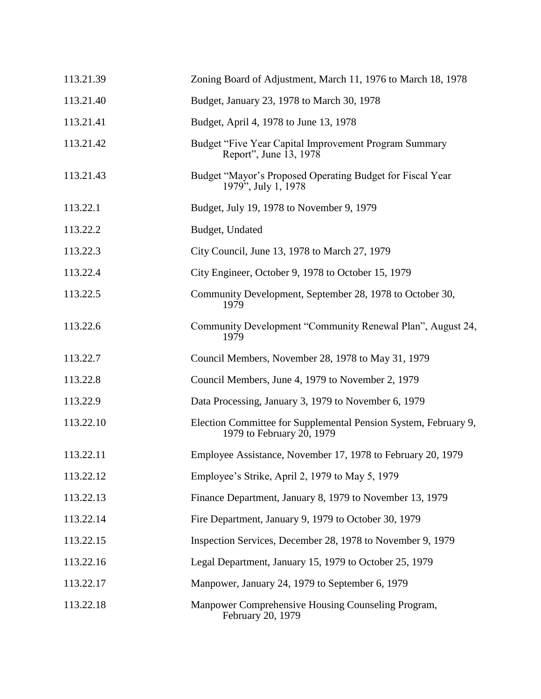| 113.21.39 | Zoning Board of Adjustment, March 11, 1976 to March 18, 1978                                 |
|-----------|----------------------------------------------------------------------------------------------|
| 113.21.40 | Budget, January 23, 1978 to March 30, 1978                                                   |
| 113.21.41 | Budget, April 4, 1978 to June 13, 1978                                                       |
| 113.21.42 | Budget "Five Year Capital Improvement Program Summary<br>Report", June 13, 1978              |
| 113.21.43 | Budget "Mayor's Proposed Operating Budget for Fiscal Year<br>1979", July 1, 1978             |
| 113.22.1  | Budget, July 19, 1978 to November 9, 1979                                                    |
| 113.22.2  | Budget, Undated                                                                              |
| 113.22.3  | City Council, June 13, 1978 to March 27, 1979                                                |
| 113.22.4  | City Engineer, October 9, 1978 to October 15, 1979                                           |
| 113.22.5  | Community Development, September 28, 1978 to October 30,<br>1979                             |
| 113.22.6  | Community Development "Community Renewal Plan", August 24,<br>1979                           |
| 113.22.7  | Council Members, November 28, 1978 to May 31, 1979                                           |
| 113.22.8  | Council Members, June 4, 1979 to November 2, 1979                                            |
| 113.22.9  | Data Processing, January 3, 1979 to November 6, 1979                                         |
| 113.22.10 | Election Committee for Supplemental Pension System, February 9,<br>1979 to February 20, 1979 |
| 113.22.11 | Employee Assistance, November 17, 1978 to February 20, 1979                                  |
| 113.22.12 | Employee's Strike, April 2, 1979 to May 5, 1979                                              |
| 113.22.13 | Finance Department, January 8, 1979 to November 13, 1979                                     |
| 113.22.14 | Fire Department, January 9, 1979 to October 30, 1979                                         |
| 113.22.15 | Inspection Services, December 28, 1978 to November 9, 1979                                   |
| 113.22.16 | Legal Department, January 15, 1979 to October 25, 1979                                       |
| 113.22.17 | Manpower, January 24, 1979 to September 6, 1979                                              |
| 113.22.18 | Manpower Comprehensive Housing Counseling Program,<br>February 20, 1979                      |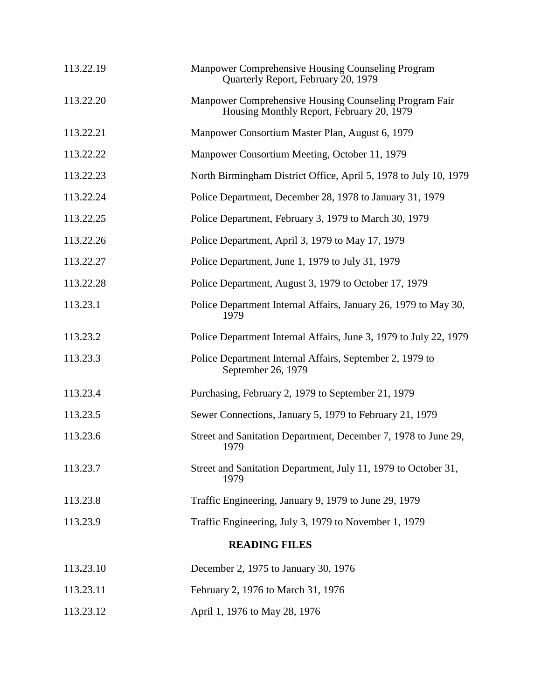| 113.22.19            | Manpower Comprehensive Housing Counseling Program<br>Quarterly Report, February 20, 1979            |
|----------------------|-----------------------------------------------------------------------------------------------------|
| 113.22.20            | Manpower Comprehensive Housing Counseling Program Fair<br>Housing Monthly Report, February 20, 1979 |
| 113.22.21            | Manpower Consortium Master Plan, August 6, 1979                                                     |
| 113.22.22            | Manpower Consortium Meeting, October 11, 1979                                                       |
| 113.22.23            | North Birmingham District Office, April 5, 1978 to July 10, 1979                                    |
| 113.22.24            | Police Department, December 28, 1978 to January 31, 1979                                            |
| 113.22.25            | Police Department, February 3, 1979 to March 30, 1979                                               |
| 113.22.26            | Police Department, April 3, 1979 to May 17, 1979                                                    |
| 113.22.27            | Police Department, June 1, 1979 to July 31, 1979                                                    |
| 113.22.28            | Police Department, August 3, 1979 to October 17, 1979                                               |
| 113.23.1             | Police Department Internal Affairs, January 26, 1979 to May 30,<br>1979                             |
| 113.23.2             | Police Department Internal Affairs, June 3, 1979 to July 22, 1979                                   |
| 113.23.3             | Police Department Internal Affairs, September 2, 1979 to<br>September 26, 1979                      |
| 113.23.4             | Purchasing, February 2, 1979 to September 21, 1979                                                  |
| 113.23.5             | Sewer Connections, January 5, 1979 to February 21, 1979                                             |
| 113.23.6             | Street and Sanitation Department, December 7, 1978 to June 29,<br>1979                              |
| 113.23.7             | Street and Sanitation Department, July 11, 1979 to October 31,<br>1979                              |
| 113.23.8             | Traffic Engineering, January 9, 1979 to June 29, 1979                                               |
| 113.23.9             | Traffic Engineering, July 3, 1979 to November 1, 1979                                               |
| <b>READING FILES</b> |                                                                                                     |
| 113.23.10            | December 2, 1975 to January 30, 1976                                                                |
| 113.23.11            | February 2, 1976 to March 31, 1976                                                                  |
| 113.23.12            | April 1, 1976 to May 28, 1976                                                                       |
|                      |                                                                                                     |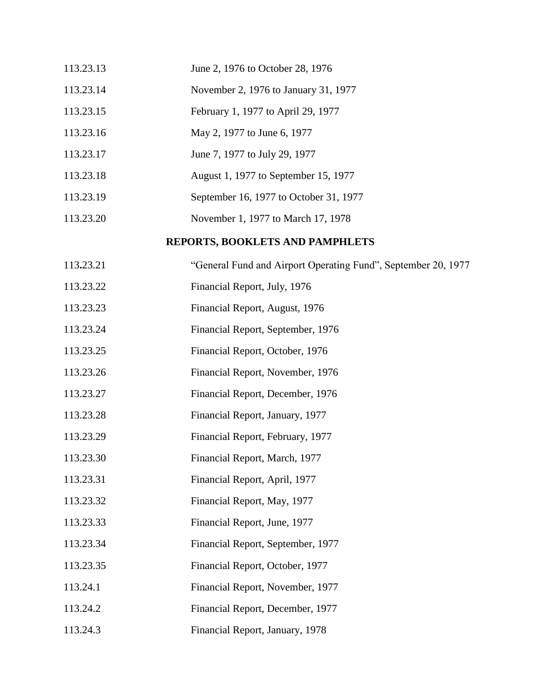| 113.23.13 | June 2, 1976 to October 28, 1976                              |
|-----------|---------------------------------------------------------------|
| 113.23.14 | November 2, 1976 to January 31, 1977                          |
| 113.23.15 | February 1, 1977 to April 29, 1977                            |
| 113.23.16 | May 2, 1977 to June 6, 1977                                   |
| 113.23.17 | June 7, 1977 to July 29, 1977                                 |
| 113.23.18 | August 1, 1977 to September 15, 1977                          |
| 113.23.19 | September 16, 1977 to October 31, 1977                        |
| 113.23.20 | November 1, 1977 to March 17, 1978                            |
|           | REPORTS, BOOKLETS AND PAMPHLETS                               |
| 113.23.21 | "General Fund and Airport Operating Fund", September 20, 1977 |
| 113.23.22 | Financial Report, July, 1976                                  |
| 113.23.23 | Financial Report, August, 1976                                |
| 113.23.24 | Financial Report, September, 1976                             |
| 113.23.25 | Financial Report, October, 1976                               |
| 113.23.26 | Financial Report, November, 1976                              |
| 113.23.27 | Financial Report, December, 1976                              |
| 113.23.28 | Financial Report, January, 1977                               |
| 113.23.29 | Financial Report, February, 1977                              |
| 113.23.30 | Financial Report, March, 1977                                 |
| 113.23.31 | Financial Report, April, 1977                                 |
| 113.23.32 | Financial Report, May, 1977                                   |
| 113.23.33 | Financial Report, June, 1977                                  |
| 113.23.34 | Financial Report, September, 1977                             |
| 113.23.35 | Financial Report, October, 1977                               |
| 113.24.1  | Financial Report, November, 1977                              |
| 113.24.2  | Financial Report, December, 1977                              |
| 113.24.3  | Financial Report, January, 1978                               |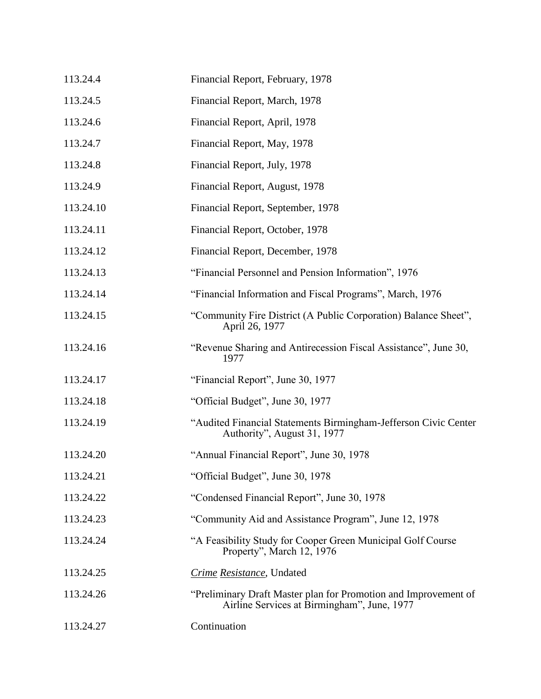| 113.24.4  | Financial Report, February, 1978                                                                               |
|-----------|----------------------------------------------------------------------------------------------------------------|
| 113.24.5  | Financial Report, March, 1978                                                                                  |
| 113.24.6  | Financial Report, April, 1978                                                                                  |
| 113.24.7  | Financial Report, May, 1978                                                                                    |
| 113.24.8  | Financial Report, July, 1978                                                                                   |
| 113.24.9  | Financial Report, August, 1978                                                                                 |
| 113.24.10 | Financial Report, September, 1978                                                                              |
| 113.24.11 | Financial Report, October, 1978                                                                                |
| 113.24.12 | Financial Report, December, 1978                                                                               |
| 113.24.13 | "Financial Personnel and Pension Information", 1976                                                            |
| 113.24.14 | "Financial Information and Fiscal Programs", March, 1976                                                       |
| 113.24.15 | "Community Fire District (A Public Corporation) Balance Sheet",<br>April 26, 1977                              |
| 113.24.16 | "Revenue Sharing and Antirecession Fiscal Assistance", June 30,<br>1977                                        |
| 113.24.17 | "Financial Report", June 30, 1977                                                                              |
| 113.24.18 | "Official Budget", June 30, 1977                                                                               |
| 113.24.19 | "Audited Financial Statements Birmingham-Jefferson Civic Center<br>Authority", August 31, 1977                 |
| 113.24.20 | "Annual Financial Report", June 30, 1978                                                                       |
| 113.24.21 | "Official Budget", June 30, 1978                                                                               |
| 113.24.22 | "Condensed Financial Report", June 30, 1978                                                                    |
| 113.24.23 | "Community Aid and Assistance Program", June 12, 1978                                                          |
| 113.24.24 | "A Feasibility Study for Cooper Green Municipal Golf Course<br>Property", March 12, 1976                       |
| 113.24.25 | Crime Resistance, Undated                                                                                      |
| 113.24.26 | "Preliminary Draft Master plan for Promotion and Improvement of<br>Airline Services at Birmingham", June, 1977 |
| 113.24.27 | Continuation                                                                                                   |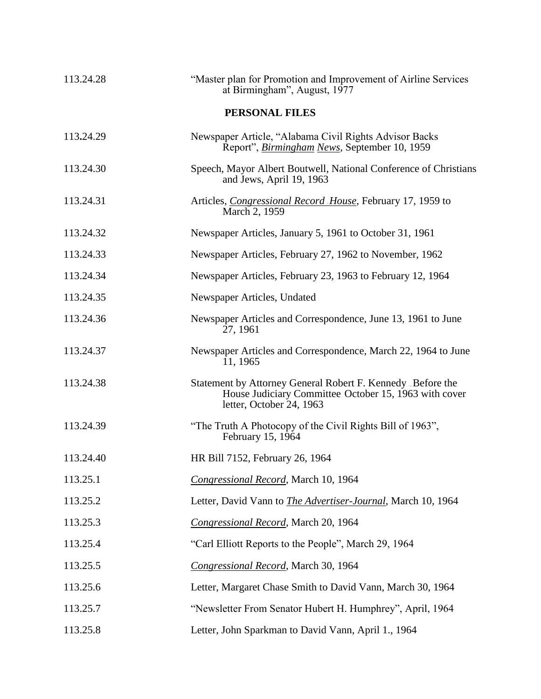| 113.24.28 | "Master plan for Promotion and Improvement of Airline Services<br>at Birmingham", August, 1977                                                  |
|-----------|-------------------------------------------------------------------------------------------------------------------------------------------------|
|           | <b>PERSONAL FILES</b>                                                                                                                           |
| 113.24.29 | Newspaper Article, "Alabama Civil Rights Advisor Backs<br>Report", Birmingham News, September 10, 1959                                          |
| 113.24.30 | Speech, Mayor Albert Boutwell, National Conference of Christians<br>and Jews, April 19, 1963                                                    |
| 113.24.31 | Articles, Congressional Record House, February 17, 1959 to<br>March 2, 1959                                                                     |
| 113.24.32 | Newspaper Articles, January 5, 1961 to October 31, 1961                                                                                         |
| 113.24.33 | Newspaper Articles, February 27, 1962 to November, 1962                                                                                         |
| 113.24.34 | Newspaper Articles, February 23, 1963 to February 12, 1964                                                                                      |
| 113.24.35 | Newspaper Articles, Undated                                                                                                                     |
| 113.24.36 | Newspaper Articles and Correspondence, June 13, 1961 to June<br>27, 1961                                                                        |
| 113.24.37 | Newspaper Articles and Correspondence, March 22, 1964 to June<br>11, 1965                                                                       |
| 113.24.38 | Statement by Attorney General Robert F. Kennedy Before the<br>House Judiciary Committee October 15, 1963 with cover<br>letter, October 24, 1963 |
| 113.24.39 | "The Truth A Photocopy of the Civil Rights Bill of 1963",<br>February 15, 1964                                                                  |
| 113.24.40 | HR Bill 7152, February 26, 1964                                                                                                                 |
| 113.25.1  | Congressional Record, March 10, 1964                                                                                                            |
| 113.25.2  | Letter, David Vann to The Advertiser-Journal, March 10, 1964                                                                                    |
| 113.25.3  | Congressional Record, March 20, 1964                                                                                                            |
| 113.25.4  | "Carl Elliott Reports to the People", March 29, 1964                                                                                            |
| 113.25.5  | Congressional Record, March 30, 1964                                                                                                            |
| 113.25.6  | Letter, Margaret Chase Smith to David Vann, March 30, 1964                                                                                      |
| 113.25.7  | "Newsletter From Senator Hubert H. Humphrey", April, 1964                                                                                       |
| 113.25.8  | Letter, John Sparkman to David Vann, April 1., 1964                                                                                             |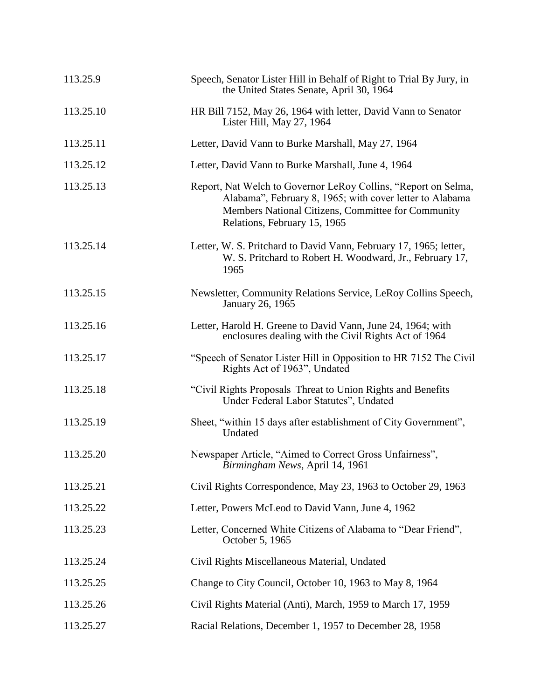| 113.25.9  | Speech, Senator Lister Hill in Behalf of Right to Trial By Jury, in<br>the United States Senate, April 30, 1964                                                                                                  |
|-----------|------------------------------------------------------------------------------------------------------------------------------------------------------------------------------------------------------------------|
| 113.25.10 | HR Bill 7152, May 26, 1964 with letter, David Vann to Senator<br>Lister Hill, May 27, 1964                                                                                                                       |
| 113.25.11 | Letter, David Vann to Burke Marshall, May 27, 1964                                                                                                                                                               |
| 113.25.12 | Letter, David Vann to Burke Marshall, June 4, 1964                                                                                                                                                               |
| 113.25.13 | Report, Nat Welch to Governor LeRoy Collins, "Report on Selma,<br>Alabama", February 8, 1965; with cover letter to Alabama<br>Members National Citizens, Committee for Community<br>Relations, February 15, 1965 |
| 113.25.14 | Letter, W. S. Pritchard to David Vann, February 17, 1965; letter,<br>W. S. Pritchard to Robert H. Woodward, Jr., February 17,<br>1965                                                                            |
| 113.25.15 | Newsletter, Community Relations Service, LeRoy Collins Speech,<br>January 26, 1965                                                                                                                               |
| 113.25.16 | Letter, Harold H. Greene to David Vann, June 24, 1964; with<br>enclosures dealing with the Civil Rights Act of 1964                                                                                              |
| 113.25.17 | "Speech of Senator Lister Hill in Opposition to HR 7152 The Civil<br>Rights Act of 1963", Undated                                                                                                                |
| 113.25.18 | "Civil Rights Proposals Threat to Union Rights and Benefits<br>Under Federal Labor Statutes", Undated                                                                                                            |
| 113.25.19 | Sheet, "within 15 days after establishment of City Government",<br>Undated                                                                                                                                       |
| 113.25.20 | Newspaper Article, "Aimed to Correct Gross Unfairness",<br>Birmingham News, April 14, 1961                                                                                                                       |
| 113.25.21 | Civil Rights Correspondence, May 23, 1963 to October 29, 1963                                                                                                                                                    |
| 113.25.22 | Letter, Powers McLeod to David Vann, June 4, 1962                                                                                                                                                                |
| 113.25.23 | Letter, Concerned White Citizens of Alabama to "Dear Friend",<br>October 5, 1965                                                                                                                                 |
| 113.25.24 | Civil Rights Miscellaneous Material, Undated                                                                                                                                                                     |
| 113.25.25 | Change to City Council, October 10, 1963 to May 8, 1964                                                                                                                                                          |
| 113.25.26 | Civil Rights Material (Anti), March, 1959 to March 17, 1959                                                                                                                                                      |
| 113.25.27 | Racial Relations, December 1, 1957 to December 28, 1958                                                                                                                                                          |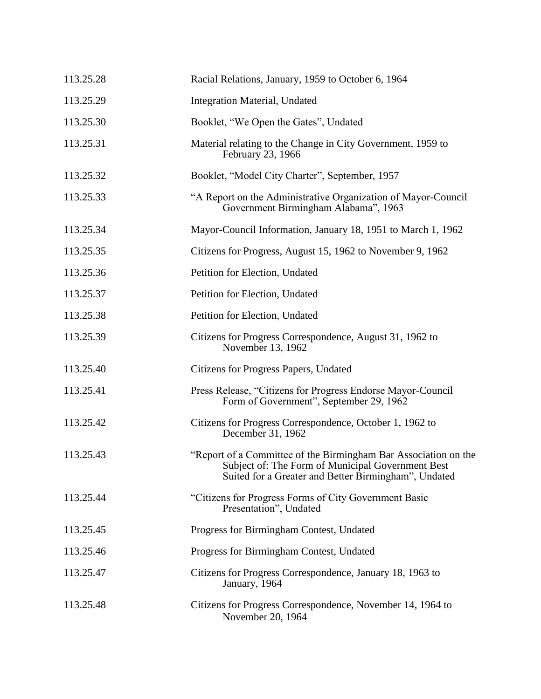| 113.25.28 | Racial Relations, January, 1959 to October 6, 1964                                                                                                                           |
|-----------|------------------------------------------------------------------------------------------------------------------------------------------------------------------------------|
| 113.25.29 | Integration Material, Undated                                                                                                                                                |
| 113.25.30 | Booklet, "We Open the Gates", Undated                                                                                                                                        |
| 113.25.31 | Material relating to the Change in City Government, 1959 to<br>February 23, 1966                                                                                             |
| 113.25.32 | Booklet, "Model City Charter", September, 1957                                                                                                                               |
| 113.25.33 | "A Report on the Administrative Organization of Mayor-Council<br>Government Birmingham Alabama", 1963                                                                        |
| 113.25.34 | Mayor-Council Information, January 18, 1951 to March 1, 1962                                                                                                                 |
| 113.25.35 | Citizens for Progress, August 15, 1962 to November 9, 1962                                                                                                                   |
| 113.25.36 | Petition for Election, Undated                                                                                                                                               |
| 113.25.37 | Petition for Election, Undated                                                                                                                                               |
| 113.25.38 | Petition for Election, Undated                                                                                                                                               |
| 113.25.39 | Citizens for Progress Correspondence, August 31, 1962 to<br>November 13, 1962                                                                                                |
| 113.25.40 | Citizens for Progress Papers, Undated                                                                                                                                        |
| 113.25.41 | Press Release, "Citizens for Progress Endorse Mayor-Council<br>Form of Government", September 29, 1962                                                                       |
| 113.25.42 | Citizens for Progress Correspondence, October 1, 1962 to<br>December 31, 1962                                                                                                |
| 113.25.43 | "Report of a Committee of the Birmingham Bar Association on the<br>Subject of: The Form of Municipal Government Best<br>Suited for a Greater and Better Birmingham", Undated |
| 113.25.44 | "Citizens for Progress Forms of City Government Basic<br>Presentation", Undated                                                                                              |
| 113.25.45 | Progress for Birmingham Contest, Undated                                                                                                                                     |
| 113.25.46 | Progress for Birmingham Contest, Undated                                                                                                                                     |
| 113.25.47 | Citizens for Progress Correspondence, January 18, 1963 to<br>January, 1964                                                                                                   |
| 113.25.48 | Citizens for Progress Correspondence, November 14, 1964 to<br>November 20, 1964                                                                                              |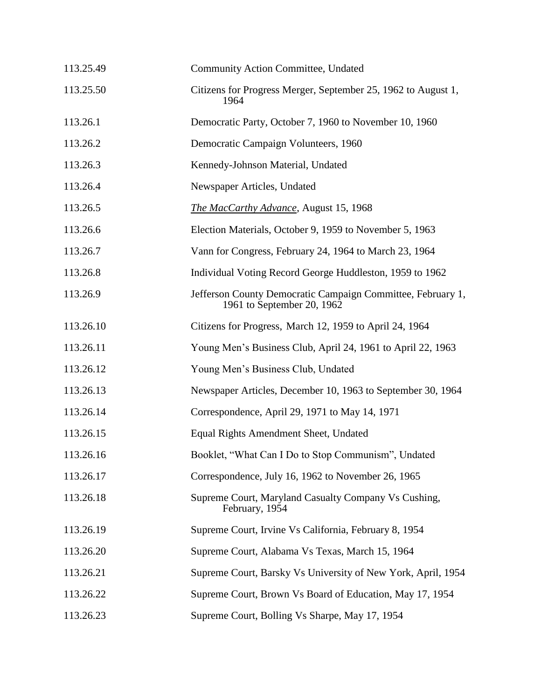| 113.25.49 | Community Action Committee, Undated                                                       |
|-----------|-------------------------------------------------------------------------------------------|
| 113.25.50 | Citizens for Progress Merger, September 25, 1962 to August 1,<br>1964                     |
| 113.26.1  | Democratic Party, October 7, 1960 to November 10, 1960                                    |
| 113.26.2  | Democratic Campaign Volunteers, 1960                                                      |
| 113.26.3  | Kennedy-Johnson Material, Undated                                                         |
| 113.26.4  | Newspaper Articles, Undated                                                               |
| 113.26.5  | The MacCarthy Advance, August 15, 1968                                                    |
| 113.26.6  | Election Materials, October 9, 1959 to November 5, 1963                                   |
| 113.26.7  | Vann for Congress, February 24, 1964 to March 23, 1964                                    |
| 113.26.8  | Individual Voting Record George Huddleston, 1959 to 1962                                  |
| 113.26.9  | Jefferson County Democratic Campaign Committee, February 1,<br>1961 to September 20, 1962 |
| 113.26.10 | Citizens for Progress, March 12, 1959 to April 24, 1964                                   |
| 113.26.11 | Young Men's Business Club, April 24, 1961 to April 22, 1963                               |
| 113.26.12 | Young Men's Business Club, Undated                                                        |
| 113.26.13 | Newspaper Articles, December 10, 1963 to September 30, 1964                               |
| 113.26.14 | Correspondence, April 29, 1971 to May 14, 1971                                            |
| 113.26.15 | Equal Rights Amendment Sheet, Undated                                                     |
| 113.26.16 | Booklet, "What Can I Do to Stop Communism", Undated                                       |
| 113.26.17 | Correspondence, July 16, 1962 to November 26, 1965                                        |
| 113.26.18 | Supreme Court, Maryland Casualty Company Vs Cushing,<br>February, 1954                    |
| 113.26.19 | Supreme Court, Irvine Vs California, February 8, 1954                                     |
| 113.26.20 | Supreme Court, Alabama Vs Texas, March 15, 1964                                           |
| 113.26.21 | Supreme Court, Barsky Vs University of New York, April, 1954                              |
| 113.26.22 | Supreme Court, Brown Vs Board of Education, May 17, 1954                                  |
| 113.26.23 | Supreme Court, Bolling Vs Sharpe, May 17, 1954                                            |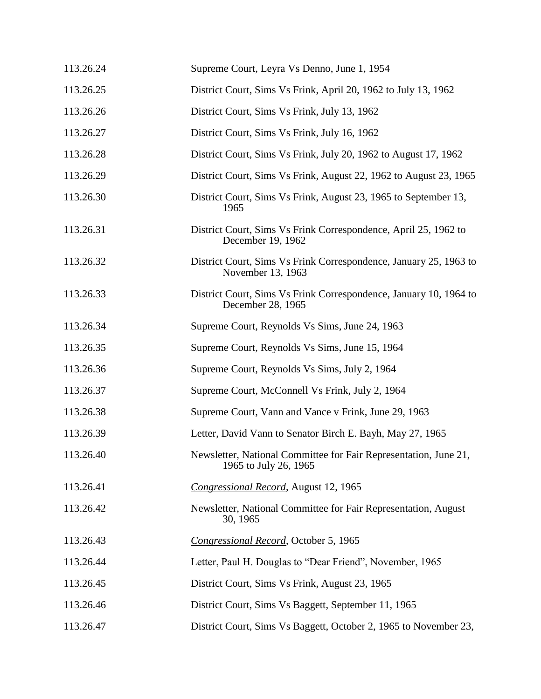| 113.26.24 | Supreme Court, Leyra Vs Denno, June 1, 1954                                               |
|-----------|-------------------------------------------------------------------------------------------|
| 113.26.25 | District Court, Sims Vs Frink, April 20, 1962 to July 13, 1962                            |
| 113.26.26 | District Court, Sims Vs Frink, July 13, 1962                                              |
| 113.26.27 | District Court, Sims Vs Frink, July 16, 1962                                              |
| 113.26.28 | District Court, Sims Vs Frink, July 20, 1962 to August 17, 1962                           |
| 113.26.29 | District Court, Sims Vs Frink, August 22, 1962 to August 23, 1965                         |
| 113.26.30 | District Court, Sims Vs Frink, August 23, 1965 to September 13,<br>1965                   |
| 113.26.31 | District Court, Sims Vs Frink Correspondence, April 25, 1962 to<br>December 19, 1962      |
| 113.26.32 | District Court, Sims Vs Frink Correspondence, January 25, 1963 to<br>November 13, 1963    |
| 113.26.33 | District Court, Sims Vs Frink Correspondence, January 10, 1964 to<br>December 28, 1965    |
| 113.26.34 | Supreme Court, Reynolds Vs Sims, June 24, 1963                                            |
| 113.26.35 | Supreme Court, Reynolds Vs Sims, June 15, 1964                                            |
| 113.26.36 | Supreme Court, Reynolds Vs Sims, July 2, 1964                                             |
| 113.26.37 | Supreme Court, McConnell Vs Frink, July 2, 1964                                           |
| 113.26.38 | Supreme Court, Vann and Vance v Frink, June 29, 1963                                      |
| 113.26.39 | Letter, David Vann to Senator Birch E. Bayh, May 27, 1965                                 |
| 113.26.40 | Newsletter, National Committee for Fair Representation, June 21,<br>1965 to July 26, 1965 |
| 113.26.41 | Congressional Record, August 12, 1965                                                     |
| 113.26.42 | Newsletter, National Committee for Fair Representation, August<br>30, 1965                |
| 113.26.43 | Congressional Record, October 5, 1965                                                     |
| 113.26.44 | Letter, Paul H. Douglas to "Dear Friend", November, 1965                                  |
| 113.26.45 | District Court, Sims Vs Frink, August 23, 1965                                            |
| 113.26.46 | District Court, Sims Vs Baggett, September 11, 1965                                       |
| 113.26.47 | District Court, Sims Vs Baggett, October 2, 1965 to November 23,                          |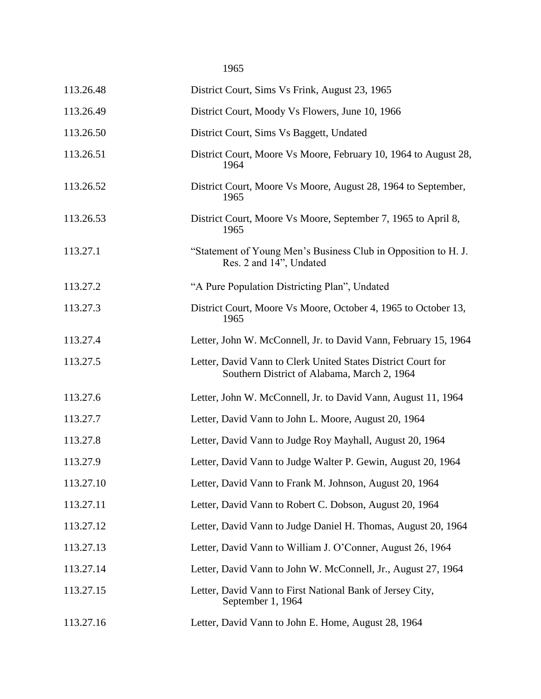1965

| 113.26.48 | District Court, Sims Vs Frink, August 23, 1965                                                              |
|-----------|-------------------------------------------------------------------------------------------------------------|
| 113.26.49 | District Court, Moody Vs Flowers, June 10, 1966                                                             |
| 113.26.50 | District Court, Sims Vs Baggett, Undated                                                                    |
| 113.26.51 | District Court, Moore Vs Moore, February 10, 1964 to August 28,<br>1964                                     |
| 113.26.52 | District Court, Moore Vs Moore, August 28, 1964 to September,<br>1965                                       |
| 113.26.53 | District Court, Moore Vs Moore, September 7, 1965 to April 8,<br>1965                                       |
| 113.27.1  | "Statement of Young Men's Business Club in Opposition to H. J.<br>Res. 2 and 14", Undated                   |
| 113.27.2  | "A Pure Population Districting Plan", Undated                                                               |
| 113.27.3  | District Court, Moore Vs Moore, October 4, 1965 to October 13,<br>1965                                      |
| 113.27.4  | Letter, John W. McConnell, Jr. to David Vann, February 15, 1964                                             |
| 113.27.5  | Letter, David Vann to Clerk United States District Court for<br>Southern District of Alabama, March 2, 1964 |
| 113.27.6  | Letter, John W. McConnell, Jr. to David Vann, August 11, 1964                                               |
| 113.27.7  | Letter, David Vann to John L. Moore, August 20, 1964                                                        |
| 113.27.8  | Letter, David Vann to Judge Roy Mayhall, August 20, 1964                                                    |
| 113.27.9  | Letter, David Vann to Judge Walter P. Gewin, August 20, 1964                                                |
| 113.27.10 | Letter, David Vann to Frank M. Johnson, August 20, 1964                                                     |
| 113.27.11 | Letter, David Vann to Robert C. Dobson, August 20, 1964                                                     |
| 113.27.12 | Letter, David Vann to Judge Daniel H. Thomas, August 20, 1964                                               |
| 113.27.13 | Letter, David Vann to William J. O'Conner, August 26, 1964                                                  |
| 113.27.14 | Letter, David Vann to John W. McConnell, Jr., August 27, 1964                                               |
| 113.27.15 | Letter, David Vann to First National Bank of Jersey City,<br>September 1, 1964                              |
| 113.27.16 | Letter, David Vann to John E. Home, August 28, 1964                                                         |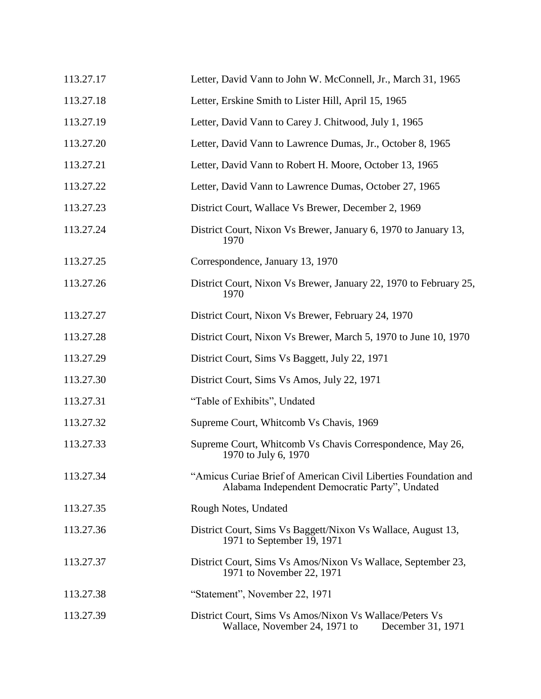| 113.27.17 | Letter, David Vann to John W. McConnell, Jr., March 31, 1965                                                      |
|-----------|-------------------------------------------------------------------------------------------------------------------|
| 113.27.18 | Letter, Erskine Smith to Lister Hill, April 15, 1965                                                              |
| 113.27.19 | Letter, David Vann to Carey J. Chitwood, July 1, 1965                                                             |
| 113.27.20 | Letter, David Vann to Lawrence Dumas, Jr., October 8, 1965                                                        |
| 113.27.21 | Letter, David Vann to Robert H. Moore, October 13, 1965                                                           |
| 113.27.22 | Letter, David Vann to Lawrence Dumas, October 27, 1965                                                            |
| 113.27.23 | District Court, Wallace Vs Brewer, December 2, 1969                                                               |
| 113.27.24 | District Court, Nixon Vs Brewer, January 6, 1970 to January 13,<br>1970                                           |
| 113.27.25 | Correspondence, January 13, 1970                                                                                  |
| 113.27.26 | District Court, Nixon Vs Brewer, January 22, 1970 to February 25,<br>1970                                         |
| 113.27.27 | District Court, Nixon Vs Brewer, February 24, 1970                                                                |
| 113.27.28 | District Court, Nixon Vs Brewer, March 5, 1970 to June 10, 1970                                                   |
| 113.27.29 | District Court, Sims Vs Baggett, July 22, 1971                                                                    |
| 113.27.30 | District Court, Sims Vs Amos, July 22, 1971                                                                       |
| 113.27.31 | "Table of Exhibits", Undated                                                                                      |
| 113.27.32 | Supreme Court, Whitcomb Vs Chavis, 1969                                                                           |
| 113.27.33 | Supreme Court, Whitcomb Vs Chavis Correspondence, May 26,<br>1970 to July 6, 1970                                 |
| 113.27.34 | "Amicus Curiae Brief of American Civil Liberties Foundation and<br>Alabama Independent Democratic Party", Undated |
| 113.27.35 | Rough Notes, Undated                                                                                              |
| 113.27.36 | District Court, Sims Vs Baggett/Nixon Vs Wallace, August 13,<br>1971 to September 19, 1971                        |
| 113.27.37 | District Court, Sims Vs Amos/Nixon Vs Wallace, September 23,<br>1971 to November 22, 1971                         |
| 113.27.38 | "Statement", November 22, 1971                                                                                    |
| 113.27.39 | District Court, Sims Vs Amos/Nixon Vs Wallace/Peters Vs<br>Wallace, November 24, 1971 to<br>December 31, 1971     |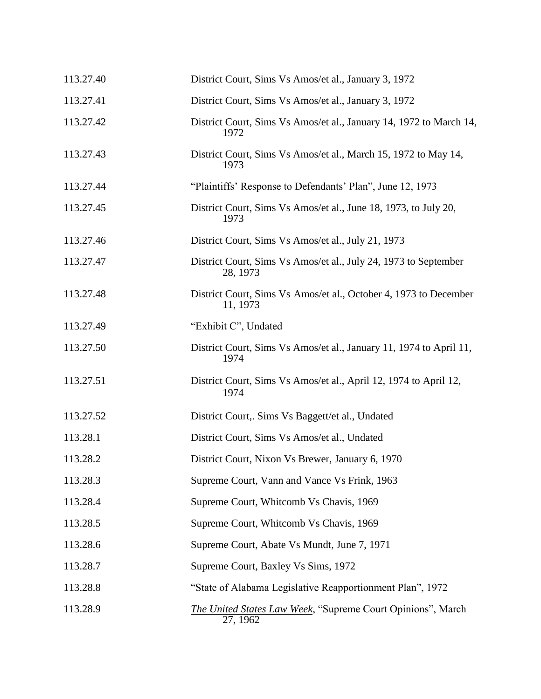| 113.27.40 | District Court, Sims Vs Amos/et al., January 3, 1972                         |
|-----------|------------------------------------------------------------------------------|
| 113.27.41 | District Court, Sims Vs Amos/et al., January 3, 1972                         |
| 113.27.42 | District Court, Sims Vs Amos/et al., January 14, 1972 to March 14,<br>1972   |
| 113.27.43 | District Court, Sims Vs Amos/et al., March 15, 1972 to May 14,<br>1973       |
| 113.27.44 | "Plaintiffs' Response to Defendants' Plan", June 12, 1973                    |
| 113.27.45 | District Court, Sims Vs Amos/et al., June 18, 1973, to July 20,<br>1973      |
| 113.27.46 | District Court, Sims Vs Amos/et al., July 21, 1973                           |
| 113.27.47 | District Court, Sims Vs Amos/et al., July 24, 1973 to September<br>28, 1973  |
| 113.27.48 | District Court, Sims Vs Amos/et al., October 4, 1973 to December<br>11, 1973 |
| 113.27.49 | "Exhibit C", Undated                                                         |
| 113.27.50 | District Court, Sims Vs Amos/et al., January 11, 1974 to April 11,<br>1974   |
| 113.27.51 | District Court, Sims Vs Amos/et al., April 12, 1974 to April 12,<br>1974     |
| 113.27.52 | District Court,. Sims Vs Baggett/et al., Undated                             |
| 113.28.1  | District Court, Sims Vs Amos/et al., Undated                                 |
| 113.28.2  | District Court, Nixon Vs Brewer, January 6, 1970                             |
| 113.28.3  | Supreme Court, Vann and Vance Vs Frink, 1963                                 |
| 113.28.4  | Supreme Court, Whitcomb Vs Chavis, 1969                                      |
| 113.28.5  | Supreme Court, Whitcomb Vs Chavis, 1969                                      |
| 113.28.6  | Supreme Court, Abate Vs Mundt, June 7, 1971                                  |
| 113.28.7  | Supreme Court, Baxley Vs Sims, 1972                                          |
| 113.28.8  | "State of Alabama Legislative Reapportionment Plan", 1972                    |
| 113.28.9  | The United States Law Week, "Supreme Court Opinions", March<br>27, 1962      |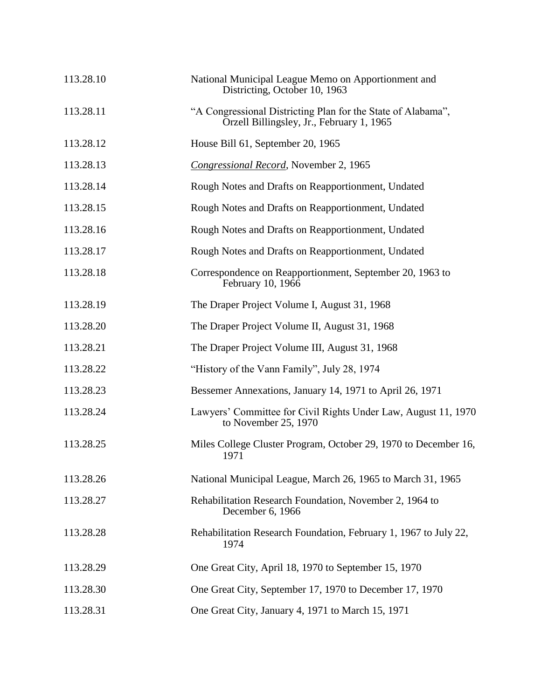| 113.28.10 | National Municipal League Memo on Apportionment and<br>Districting, October 10, 1963                      |
|-----------|-----------------------------------------------------------------------------------------------------------|
| 113.28.11 | "A Congressional Districting Plan for the State of Alabama",<br>Orzell Billingsley, Jr., February 1, 1965 |
| 113.28.12 | House Bill 61, September 20, 1965                                                                         |
| 113.28.13 | Congressional Record, November 2, 1965                                                                    |
| 113.28.14 | Rough Notes and Drafts on Reapportionment, Undated                                                        |
| 113.28.15 | Rough Notes and Drafts on Reapportionment, Undated                                                        |
| 113.28.16 | Rough Notes and Drafts on Reapportionment, Undated                                                        |
| 113.28.17 | Rough Notes and Drafts on Reapportionment, Undated                                                        |
| 113.28.18 | Correspondence on Reapportionment, September 20, 1963 to<br>February 10, 1966                             |
| 113.28.19 | The Draper Project Volume I, August 31, 1968                                                              |
| 113.28.20 | The Draper Project Volume II, August 31, 1968                                                             |
| 113.28.21 | The Draper Project Volume III, August 31, 1968                                                            |
| 113.28.22 | "History of the Vann Family", July 28, 1974                                                               |
| 113.28.23 | Bessemer Annexations, January 14, 1971 to April 26, 1971                                                  |
| 113.28.24 | Lawyers' Committee for Civil Rights Under Law, August 11, 1970<br>to November 25, 1970                    |
| 113.28.25 | Miles College Cluster Program, October 29, 1970 to December 16,<br>1971                                   |
| 113.28.26 | National Municipal League, March 26, 1965 to March 31, 1965                                               |
| 113.28.27 | Rehabilitation Research Foundation, November 2, 1964 to<br>December 6, 1966                               |
| 113.28.28 | Rehabilitation Research Foundation, February 1, 1967 to July 22,<br>1974                                  |
| 113.28.29 | One Great City, April 18, 1970 to September 15, 1970                                                      |
| 113.28.30 | One Great City, September 17, 1970 to December 17, 1970                                                   |
| 113.28.31 | One Great City, January 4, 1971 to March 15, 1971                                                         |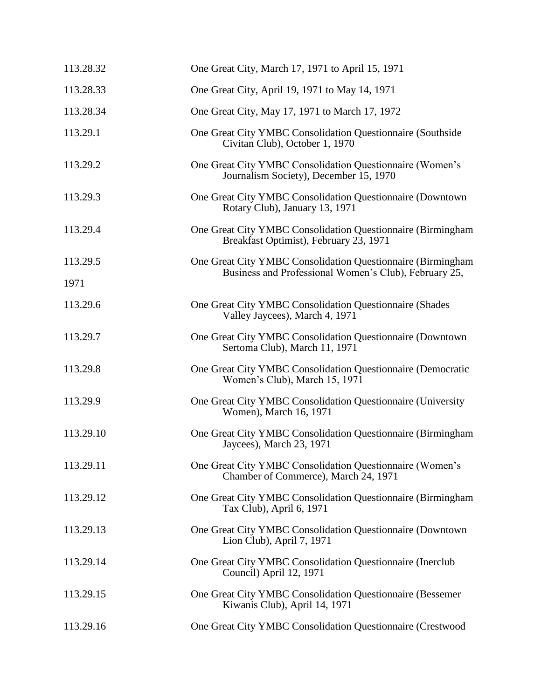| 113.28.32 | One Great City, March 17, 1971 to April 15, 1971                                                      |
|-----------|-------------------------------------------------------------------------------------------------------|
| 113.28.33 | One Great City, April 19, 1971 to May 14, 1971                                                        |
| 113.28.34 | One Great City, May 17, 1971 to March 17, 1972                                                        |
| 113.29.1  | One Great City YMBC Consolidation Questionnaire (Southside<br>Civitan Club), October 1, 1970          |
| 113.29.2  | One Great City YMBC Consolidation Questionnaire (Women's<br>Journalism Society), December 15, 1970    |
| 113.29.3  | One Great City YMBC Consolidation Questionnaire (Downtown<br>Rotary Club), January 13, 1971           |
| 113.29.4  | One Great City YMBC Consolidation Questionnaire (Birmingham<br>Breakfast Optimist), February 23, 1971 |
| 113.29.5  | One Great City YMBC Consolidation Questionnaire (Birmingham                                           |
| 1971      | Business and Professional Women's Club), February 25,                                                 |
| 113.29.6  | One Great City YMBC Consolidation Questionnaire (Shades<br>Valley Jaycees), March 4, 1971             |
| 113.29.7  | One Great City YMBC Consolidation Questionnaire (Downtown<br>Sertoma Club), March 11, 1971            |
| 113.29.8  | One Great City YMBC Consolidation Questionnaire (Democratic<br>Women's Club), March 15, 1971          |
| 113.29.9  | One Great City YMBC Consolidation Questionnaire (University<br>Women), March 16, 1971                 |
| 113.29.10 | One Great City YMBC Consolidation Questionnaire (Birmingham<br>Jaycees), March 23, 1971               |
| 113.29.11 | One Great City YMBC Consolidation Questionnaire (Women's<br>Chamber of Commerce), March 24, 1971      |
| 113.29.12 | One Great City YMBC Consolidation Questionnaire (Birmingham<br>Tax Club), April 6, 1971               |
| 113.29.13 | One Great City YMBC Consolidation Questionnaire (Downtown<br>Lion Club), April 7, 1971                |
| 113.29.14 | One Great City YMBC Consolidation Questionnaire (Inerclub<br>Council) April 12, 1971                  |
| 113.29.15 | One Great City YMBC Consolidation Questionnaire (Bessemer<br>Kiwanis Club), April 14, 1971            |
| 113.29.16 | One Great City YMBC Consolidation Questionnaire (Crestwood                                            |